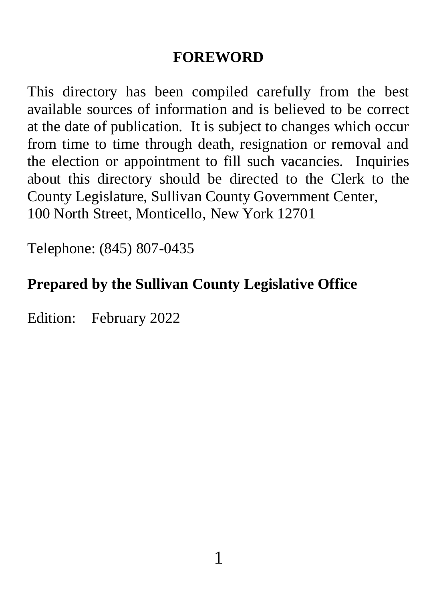#### **FOREWORD**

This directory has been compiled carefully from the best available sources of information and is believed to be correct at the date of publication. It is subject to changes which occur from time to time through death, resignation or removal and the election or appointment to fill such vacancies. Inquiries about this directory should be directed to the Clerk to the County Legislature, Sullivan County Government Center, 100 North Street, Monticello, New York 12701

Telephone: (845) 807-0435

## **Prepared by the Sullivan County Legislative Office**

Edition: February 2022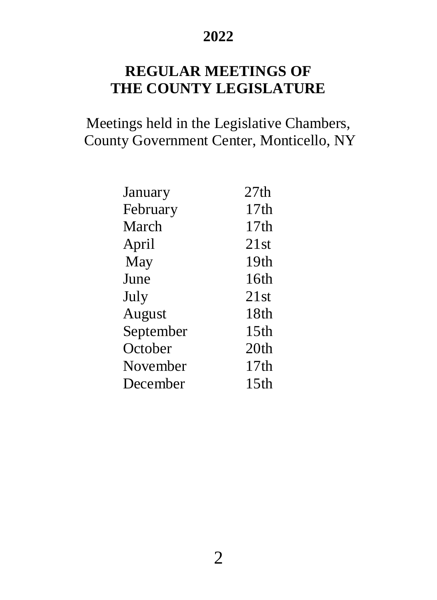#### **2022**

#### **REGULAR MEETINGS OF THE COUNTY LEGISLATURE**

Meetings held in the Legislative Chambers, County Government Center, Monticello, NY

| January   | 27th             |
|-----------|------------------|
| February  | 17th             |
| March     | 17th             |
| April     | 21st             |
| May       | 19th             |
| June      | 16th             |
| July      | 21st             |
| August    | 18th             |
| September | 15 <sub>th</sub> |
| October   | 20 <sub>th</sub> |
| November  | 17 <sub>th</sub> |
| December  | 15th             |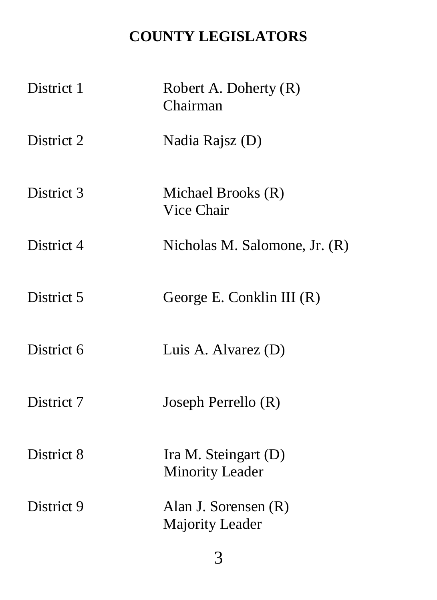# **COUNTY LEGISLATORS**

| District 1 | Robert A. Doherty (R)<br>Chairman              |
|------------|------------------------------------------------|
| District 2 | Nadia Rajsz (D)                                |
| District 3 | Michael Brooks (R)<br>Vice Chair               |
| District 4 | Nicholas M. Salomone, Jr. $(R)$                |
| District 5 | George E. Conklin III $(R)$                    |
| District 6 | Luis A. Alvarez (D)                            |
| District 7 | Joseph Perrello (R)                            |
| District 8 | Ira M. Steingart (D)<br><b>Minority Leader</b> |
| District 9 | Alan J. Sorensen (R)<br>Majority Leader        |

3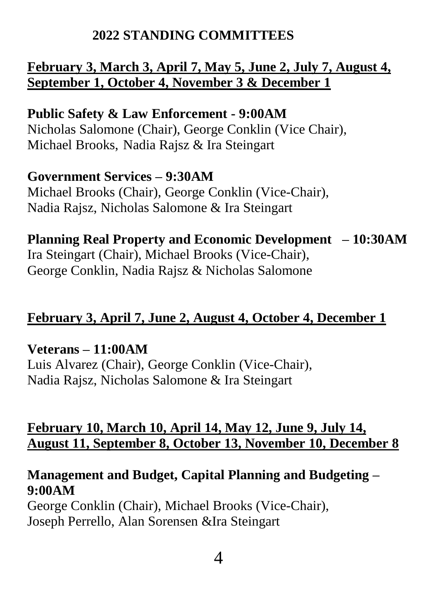#### **2022 STANDING COMMITTEES**

#### **February 3, March 3, April 7, May 5, June 2, July 7, August 4, September 1, October 4, November 3 & December 1**

**Public Safety & Law Enforcement - 9:00AM** Nicholas Salomone (Chair), George Conklin (Vice Chair), Michael Brooks, Nadia Rajsz & Ira Steingart

# **Government Services – 9:30AM**

Michael Brooks (Chair), George Conklin (Vice-Chair), Nadia Rajsz, Nicholas Salomone & Ira Steingart

**Planning Real Property and Economic Development – 10:30AM**  Ira Steingart (Chair), Michael Brooks (Vice-Chair), George Conklin, Nadia Rajsz & Nicholas Salomone

#### **February 3, April 7, June 2, August 4, October 4, December 1**

**Veterans – 11:00AM**  Luis Alvarez (Chair), George Conklin (Vice-Chair), Nadia Rajsz, Nicholas Salomone & Ira Steingart

#### **February 10, March 10, April 14, May 12, June 9, July 14, August 11, September 8, October 13, November 10, December 8**

#### **Management and Budget, Capital Planning and Budgeting – 9:00AM**

George Conklin (Chair), Michael Brooks (Vice-Chair), Joseph Perrello, Alan Sorensen &Ira Steingart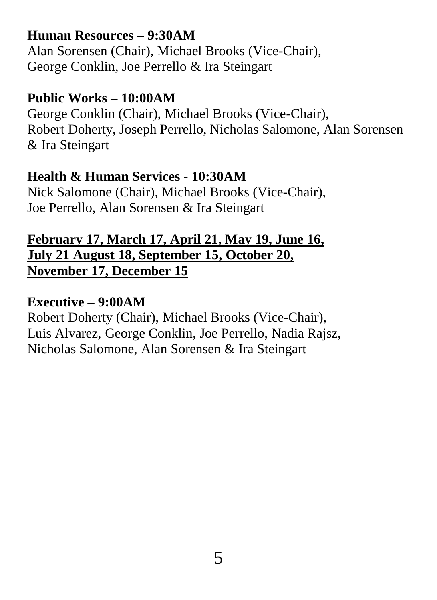#### **Human Resources – 9:30AM**

Alan Sorensen (Chair), Michael Brooks (Vice-Chair), George Conklin, Joe Perrello & Ira Steingart

#### **Public Works – 10:00AM**

George Conklin (Chair), Michael Brooks (Vice-Chair), Robert Doherty, Joseph Perrello, Nicholas Salomone, Alan Sorensen & Ira Steingart

#### **Health & Human Services - 10:30AM**

Nick Salomone (Chair), Michael Brooks (Vice-Chair), Joe Perrello, Alan Sorensen & Ira Steingart

#### **February 17, March 17, April 21, May 19, June 16, July 21 August 18, September 15, October 20, November 17, December 15**

#### **Executive – 9:00AM**

Robert Doherty (Chair), Michael Brooks (Vice-Chair), Luis Alvarez, George Conklin, Joe Perrello, Nadia Rajsz, Nicholas Salomone, Alan Sorensen & Ira Steingart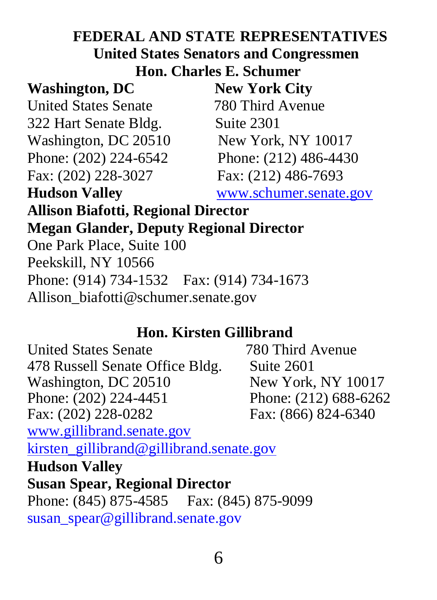## **FEDERAL AND STATE REPRESENTATIVES United States Senators and Congressmen Hon. Charles E. Schumer**

#### **Washington, DC New York City**

United States Senate 780 Third Avenue 322 Hart Senate Bldg. Suite 2301 Washington, DC 20510 New York, NY 10017 Phone: (202) 224-6542 Phone: (212) 486-4430 Fax: (202) 228-3027 Fax: (212) 486-7693

**Hudson Valley** [www.schumer.senate.gov](http://www.schumer.senate.gov/)

## **Allison Biafotti, Regional Director Megan Glander, Deputy Regional Director** One Park Place, Suite 100 Peekskill, NY 10566 Phone: (914) 734-1532 Fax: (914) 734-1673 Allison\_biafotti@schumer.senate.gov

#### **Hon. Kirsten Gillibrand**

United States Senate 780 Third Avenue 478 Russell Senate Office Bldg. Suite 2601 Washington, DC 20510 New York, NY 10017 Phone: (202) 224-4451 Phone: (212) 688-6262 Fax: (202) 228-0282 Fax: (866) 824-6340 [www.gillibrand.senate.gov](http://www.gillibrand.senate.gov/)  [kirsten\\_gillibrand@gillibrand.senate.gov](mailto:kirsten_gillibrand@gillibrand.senate.gov) **Hudson Valley Susan Spear, Regional Director** Phone: (845) 875-4585 Fax: (845) 875-9099 [susan\\_spear@gillibrand.senate.gov](mailto:susan_spear@gillibrand.senate.gov)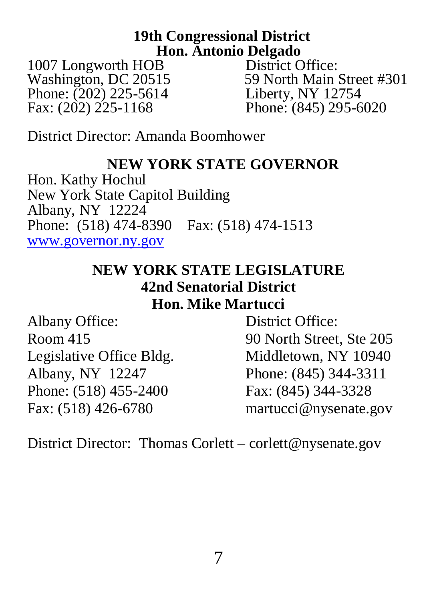#### **19th Congressional District Hon. Antonio Delgado**

Washington, DC 20515 59 North Main Stre<br>
Phone: (202) 225-5614 Liberty, NY 12754 Phone: (202) 225-5614<br>Fax: (202) 225-1168

1007 Longworth HOB District Office:<br>Washington, DC 20515 59 North Main Street #301 Phone: (845) 295-6020

District Director: Amanda Boomhower

#### **NEW YORK STATE GOVERNOR**

Hon. Kathy Hochul New York State Capitol Building Albany, NY 12224 Phone: (518) 474-8390 Fax: (518) 474-1513 [www.governor.ny.gov](http://www.governor.ny.gov/)

#### **NEW YORK STATE LEGISLATURE 42nd Senatorial District Hon. Mike Martucci**

Albany Office: District Office: Legislative Office Bldg. Middletown, NY 10940 Albany, NY 12247 Phone: (845) 344-3311 Phone: (518) 455-2400 Fax: (845) 344-3328

Room 415 90 North Street, Ste 205 Fax: (518) 426-6780 martucci@nysenate.gov

District Director: Thomas Corlett – corlett@nysenate.gov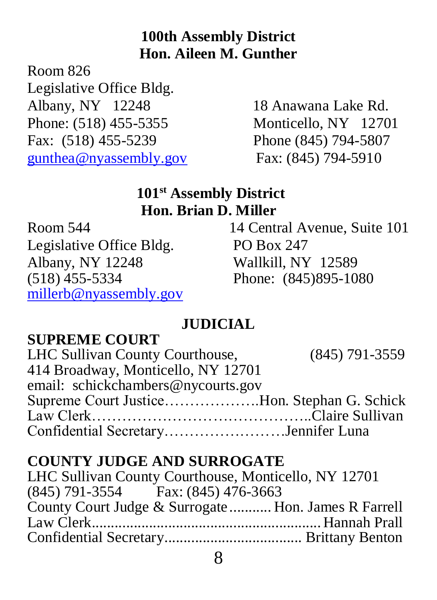## **100th Assembly District Hon. Aileen M. Gunther**

Room 826

Legislative Office Bldg. Albany, NY 12248 18 Anawana Lake Rd. Phone: (518) 455-5355 Monticello, NY 12701 Fax: (518) 455-5239 Phone (845) 794-5807 [gunthea@nyassembly.gov](mailto:gunthea@nyassembly.gov) Fax: (845) 794-5910

#### **101st Assembly District Hon. Brian D. Miller**

Legislative Office Bldg. PO Box 247 Albany, NY 12248 Wallkill, NY 12589 (518) 455-5334 Phone: (845)895-1080 [millerb@nyassembly.gov](mailto:millerb@nyassembly.gov)

Room 544 14 Central Avenue, Suite 101

## **JUDICIAL**

## **SUPREME COURT**

| LHC Sullivan County Courthouse,             | $(845)$ 791-3559 |
|---------------------------------------------|------------------|
| 414 Broadway, Monticello, NY 12701          |                  |
| email: schickchambers@nycourts.gov          |                  |
| Supreme Court JusticeHon. Stephan G. Schick |                  |
|                                             |                  |
| Confidential SecretaryJennifer Luna         |                  |

## **COUNTY JUDGE AND SURROGATE**

LHC Sullivan County Courthouse, Monticello, NY 12701 (845) 791-3554 Fax: (845) 476-3663 County Court Judge & Surrogate ........... Hon. James R Farrell Law Clerk............................................................ Hannah Prall Confidential Secretary.................................... Brittany Benton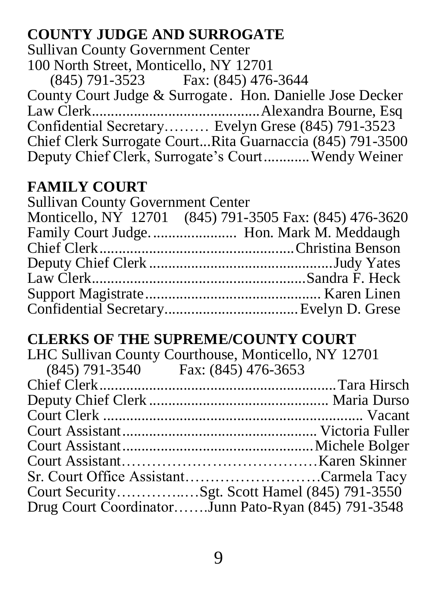#### **COUNTY JUDGE AND SURROGATE**

Sullivan County Government Center 100 North Street, Monticello, NY 12701 (845) 791-3523 Fax: (845) 476-3644 County Court Judge & Surrogate . Hon. Danielle Jose Decker Law Clerk............................................Alexandra Bourne, Esq Confidential Secretary……… Evelyn Grese (845) 791-3523 Chief Clerk Surrogate Court...Rita Guarnaccia (845) 791-3500 Deputy Chief Clerk, Surrogate's Court............Wendy Weiner

#### **FAMILY COURT**

| <b>Sullivan County Government Center</b> |                                                         |
|------------------------------------------|---------------------------------------------------------|
|                                          | Monticello, NY 12701 (845) 791-3505 Fax: (845) 476-3620 |
|                                          | Family Court Judge Hon. Mark M. Meddaugh                |
|                                          |                                                         |
|                                          |                                                         |
|                                          |                                                         |
|                                          |                                                         |
|                                          |                                                         |

#### **CLERKS OF THE SUPREME/COUNTY COURT**

|                                        | LHC Sullivan County Courthouse, Monticello, NY 12701 |
|----------------------------------------|------------------------------------------------------|
| $(845)$ 791-3540 Fax: $(845)$ 476-3653 |                                                      |
|                                        |                                                      |
|                                        |                                                      |
|                                        |                                                      |
|                                        |                                                      |
|                                        |                                                      |
|                                        |                                                      |
|                                        | Sr. Court Office AssistantCarmela Tacy               |
|                                        |                                                      |
|                                        | Drug Court CoordinatorJunn Pato-Ryan (845) 791-3548  |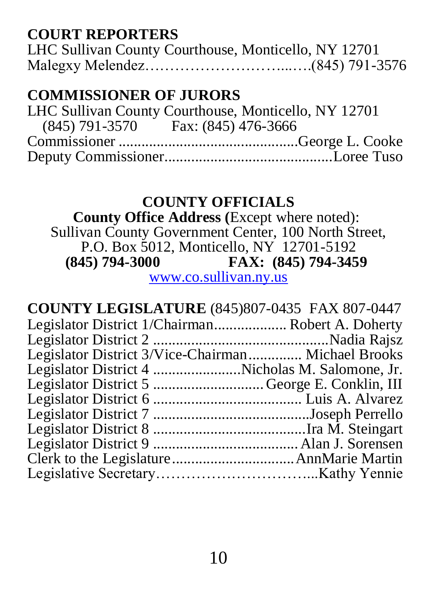#### **COURT REPORTERS**

| LHC Sullivan County Courthouse, Monticello, NY 12701 |  |
|------------------------------------------------------|--|
|                                                      |  |

## **COMMISSIONER OF JURORS**

| LHC Sullivan County Courthouse, Monticello, NY 12701 |
|------------------------------------------------------|
| $(845)$ 791-3570 Fax: $(845)$ 476-3666               |
|                                                      |
|                                                      |

#### **COUNTY OFFICIALS**

 **County Office Address (**Except where noted): Sullivan County Government Center, 100 North Street, P.O. Box 5012, Monticello, NY 12701-5192<br>(845) 794-3000 FAX: (845) 794-345 **(845) 794-3000 FAX: (845) 794-3459**

[www.co.sullivan.ny.us](http://www.co.sullivan.ny.us/)

| <b>COUNTY LEGISLATURE</b> (845)807-0435 FAX 807-0447 |  |
|------------------------------------------------------|--|
| Legislator District 1/Chairman Robert A. Doherty     |  |
|                                                      |  |
| Legislator District 3/Vice-Chairman Michael Brooks   |  |
| Legislator District 4 Nicholas M. Salomone, Jr.      |  |
| Legislator District 5 George E. Conklin, III         |  |
|                                                      |  |
|                                                      |  |
|                                                      |  |
|                                                      |  |
|                                                      |  |
|                                                      |  |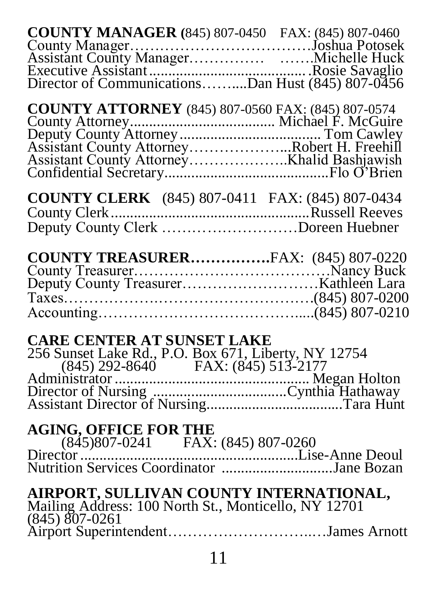| <b>COUNTY CLERK</b> (845) 807-0411 FAX: (845) 807-0434                                                              |
|---------------------------------------------------------------------------------------------------------------------|
|                                                                                                                     |
| <b>CARE CENTER AT SUNSET LAKE</b>                                                                                   |
|                                                                                                                     |
| AIRPORT, SULLIVAN COUNTY INTERNATIONAL,<br>Mailing Address: 100 North St., Monticello, NY 12701<br>$(845)$ 807-0261 |
| 11                                                                                                                  |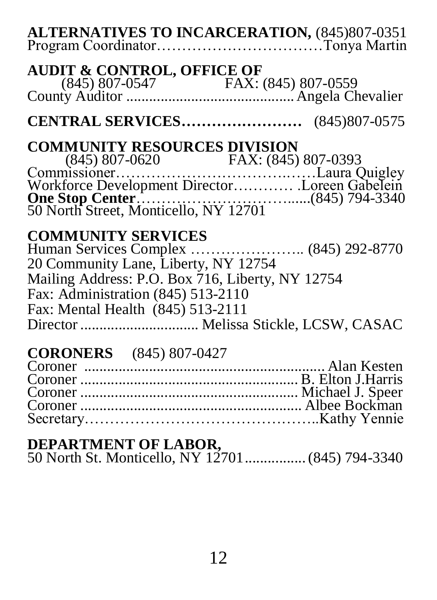| <b>CENTRAL SERVICES</b> (845)807-0575                                                                                                                                                            |
|--------------------------------------------------------------------------------------------------------------------------------------------------------------------------------------------------|
| <b>COMMUNITY RESOURCES DIVISION</b>                                                                                                                                                              |
| <b>COMMUNITY SERVICES</b><br>20 Community Lane, Liberty, NY 12754<br>Mailing Address: P.O. Box 716, Liberty, NY 12754<br>Fax: Administration (845) 513-2110<br>Fax: Mental Health (845) 513-2111 |
| <b>CORONERS</b> (845) 807-0427                                                                                                                                                                   |

#### **DEPARTMENT OF LABOR,**

50 North St. Monticello, NY 12701................(845) 794-3340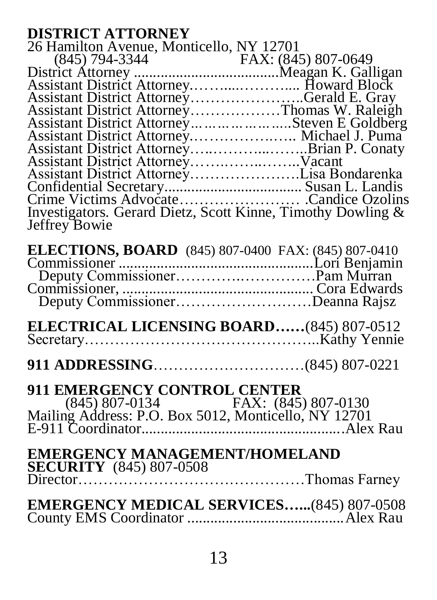#### **DISTRICT ATTORNEY**

| 26 Hamilton Avenue, Monticello, NY 12701                    |  |
|-------------------------------------------------------------|--|
|                                                             |  |
|                                                             |  |
|                                                             |  |
| Assistant District AttorneyGerald E. Gray                   |  |
| Assistant District AttorneyThomas W. Raleigh                |  |
| Assistant District AttorneySteven E Goldberg                |  |
| Assistant District Attorney Michael J. Puma                 |  |
|                                                             |  |
|                                                             |  |
| Assistant District AttorneyLisa Bondarenka                  |  |
|                                                             |  |
|                                                             |  |
| Investigators. Gerard Dietz, Scott Kinne, Timothy Dowling & |  |
| Jeffrey Bowie                                               |  |
|                                                             |  |

| Deputy CommissionerDeanna Rajsz |  |
|---------------------------------|--|

**911 ADDRESSING**…………………………(845) 807-0221

# **911 EMERGENCY CONTROL CENTER**

 (845) 807-0134 FAX: (845) 807-0130 Mailing Address: P.O. Box 5012, Monticello, NY 12701 E-911 Coordinator.....................................................Alex Rau

| <b>EMERGENCY MANAGEMENT/HOMELAND</b><br><b>SECURITY</b> (845) 807-0508 |
|------------------------------------------------------------------------|
| <b>EMERGENCY MEDICAL SERVICES(845) 807-0508</b>                        |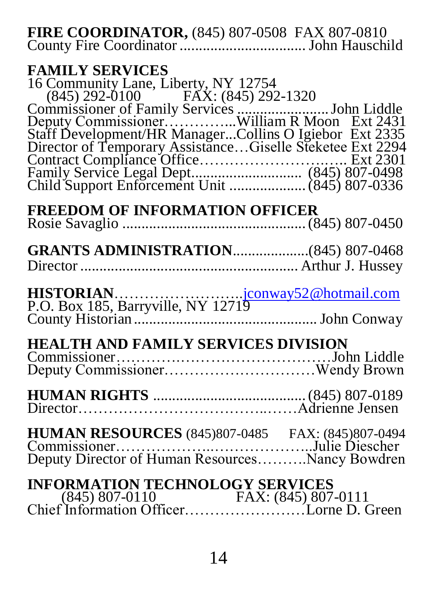**FIRE COORDINATOR,** (845) 807-0508 FAX 807-0810 County Fire Coordinator ................................. John Hauschild

#### **FAMILY SERVICES**

| 16 Community Lane, Liberty, NY 12754                                                                                |  |
|---------------------------------------------------------------------------------------------------------------------|--|
| $(845)$ 292-0100 FAX: $(845)$ 292-1320                                                                              |  |
| Commissioner of Family Services  John Liddle                                                                        |  |
| Deputy CommissionerWilliam R Moon Ext 2431                                                                          |  |
| Staff Development/HR ManagerCollins O Igiebor Ext 2335<br>Director of Temporary AssistanceGiselle Steketee Ext 2294 |  |
|                                                                                                                     |  |
|                                                                                                                     |  |
|                                                                                                                     |  |
|                                                                                                                     |  |
|                                                                                                                     |  |

# **FREEDOM OF INFORMATION OFFICER**

| <b>GRANTS ADMINISTRATION</b> (845) 807-0468                                                                |  |
|------------------------------------------------------------------------------------------------------------|--|
| HISTORIAN <u>iconway52@hotmail.com</u><br>P.O. Box 185, Barryville, NY 12719                               |  |
| <b>HEALTH AND FAMILY SERVICES DIVISION</b>                                                                 |  |
|                                                                                                            |  |
| <b>HUMAN RESOURCES</b> (845)807-0485 FAX: (845)807-0494<br>Deputy Director of Human ResourcesNancy Bowdren |  |
| INFORMATION TECHNOLOGY SERVICES                                                                            |  |

| <b>INFORMATION TECHNOLOGY SERVICES</b> |  |
|----------------------------------------|--|
|                                        |  |
|                                        |  |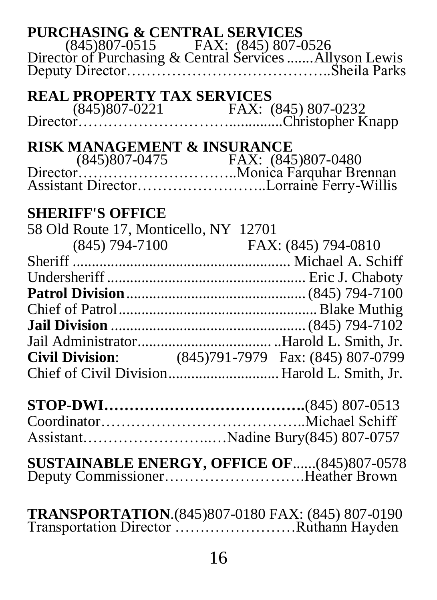| <b>PURCHASING &amp; CENTRAL SERVICES</b> |                                                                                            |
|------------------------------------------|--------------------------------------------------------------------------------------------|
|                                          |                                                                                            |
|                                          |                                                                                            |
|                                          |                                                                                            |
| <b>REAL PROPERTY TAX SERVICES</b>        |                                                                                            |
|                                          |                                                                                            |
|                                          |                                                                                            |
| RISK MANAGEMENT & INSURANCE              |                                                                                            |
|                                          |                                                                                            |
|                                          |                                                                                            |
|                                          |                                                                                            |
|                                          |                                                                                            |
| <b>SHERIFF'S OFFICE</b>                  |                                                                                            |
| 58 Old Route 17, Monticello, NY 12701    |                                                                                            |
|                                          | (845) 794-7100 FAX: (845) 794-0810                                                         |
|                                          |                                                                                            |
|                                          |                                                                                            |
|                                          |                                                                                            |
|                                          |                                                                                            |
|                                          |                                                                                            |
|                                          |                                                                                            |
|                                          |                                                                                            |
|                                          |                                                                                            |
|                                          |                                                                                            |
|                                          |                                                                                            |
|                                          |                                                                                            |
|                                          |                                                                                            |
|                                          | AssistantNadine Bury(845) 807-0757                                                         |
|                                          |                                                                                            |
|                                          | SUSTAINABLE ENERGY, OFFICE OF(845)807-0578<br>Deputy CommissionerHeather Brown             |
|                                          |                                                                                            |
|                                          |                                                                                            |
|                                          | TRANSPORTATION.(845)807-0180 FAX: (845) 807-0190<br>Transportation Director Ruthann Hayden |
|                                          |                                                                                            |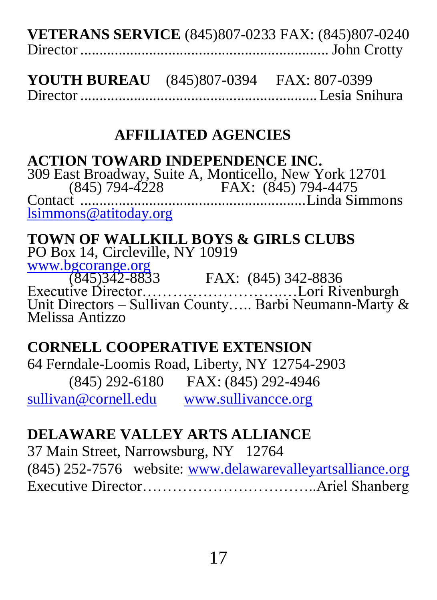| <b>VETERANS SERVICE</b> (845)807-0233 FAX: (845)807-0240 |  |
|----------------------------------------------------------|--|
|                                                          |  |

| <b>YOUTH BUREAU</b> (845)807-0394 | FAX: 807-0399 |
|-----------------------------------|---------------|
|                                   |               |

## **AFFILIATED AGENCIES**

#### **ACTION TOWARD INDEPENDENCE INC.**

309 East Broadway, Suite A, Monticello, New York 12701 (845) 794-4228 FAX: (845) 794-4475 Contact ...........................................................Linda Simmons [lsimmons@atitoday.org](mailto:jhargabus@atitoday.org)

#### **TOWN OF WALLKILL BOYS & GIRLS CLUBS** PO Box 14, Circleville, NY 10919

[www.bgcorange.org](http://www.bgcorange.org/) (845)342-8833 FAX: (845) 342-8836 Executive Director……………………….…Lori Rivenburgh Unit Directors – Sullivan County….. Barbi Neumann-Marty & Melissa Antizzo

#### **CORNELL COOPERATIVE EXTENSION**

64 Ferndale-Loomis Road, Liberty, NY 12754-2903 (845) 292-6180 FAX: (845) 292-4946 [sullivan@cornell.edu](mailto:sullivan@cornell.edu) [www.sullivancce.org](http://www.sullivancce.org/)

## **DELAWARE VALLEY ARTS ALLIANCE**

37 Main Street, Narrowsburg, NY 12764 (845) 252-7576 website: [www.delawarevalleyartsalliance.org](http://www.delawarevalleyartsalliance.org/) Executive Director……………………………..Ariel Shanberg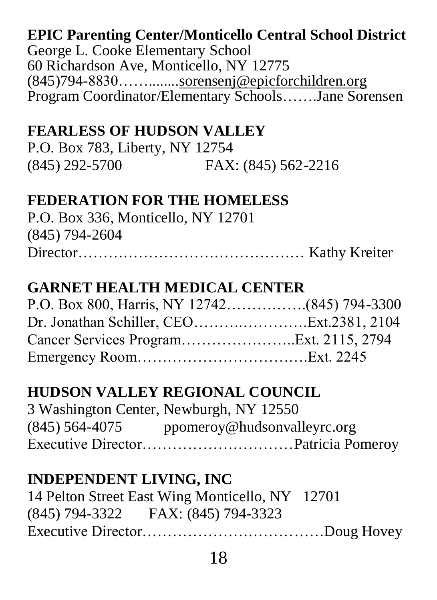# **EPIC Parenting Center/Monticello Central School District**

George L. Cooke Elementary School 60 Richardson Ave, Monticello, NY 12775 (845)794-8830……........sorensenj@epicforchildren.org Program Coordinator/Elementary Schools…….Jane Sorensen

## **FEARLESS OF HUDSON VALLEY**

P.O. Box 783, Liberty, NY 12754 (845) 292-5700 FAX: (845) 562-2216

#### **FEDERATION FOR THE HOMELESS**

| P.O. Box 336, Monticello, NY 12701 |  |
|------------------------------------|--|
| (845) 794-2604                     |  |
|                                    |  |

# **GARNET HEALTH MEDICAL CENTER**

| P.O. Box 800, Harris, NY 12742(845) 794-3300 |  |
|----------------------------------------------|--|
|                                              |  |
|                                              |  |
|                                              |  |

# **HUDSON VALLEY REGIONAL COUNCIL**

|                | 3 Washington Center, Newburgh, NY 12550 |
|----------------|-----------------------------------------|
| (845) 564-4075 | ppomeroy@hudsonvalleyrc.org             |
|                |                                         |

## **INDEPENDENT LIVING, INC**

| 14 Pelton Street East Wing Monticello, NY 12701 |  |
|-------------------------------------------------|--|
| (845) 794-3322 FAX: (845) 794-3323              |  |
|                                                 |  |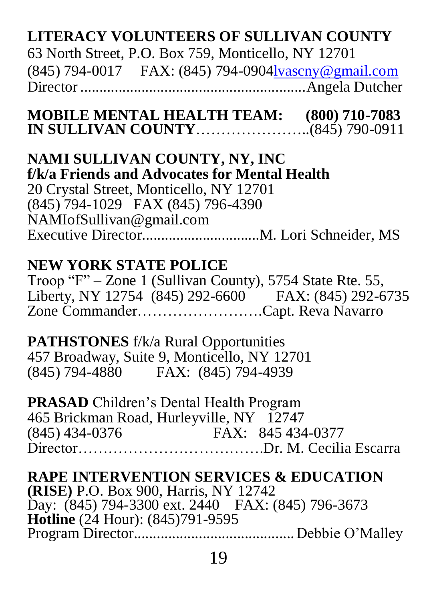# **LITERACY VOLUNTEERS OF SULLIVAN COUNTY**

63 North Street, P.O. Box 759, Monticello, NY 12701 (845) 794-0017 FAX: (845) 794-090[4lvascny@gmail.com](mailto:lvascny@gmail.com) Director...........................................................Angela Dutcher

**MOBILE MENTAL HEALTH TEAM: (800) 710-7083 IN SULLIVAN COUNTY**…………………..(845) 790-0911

**NAMI SULLIVAN COUNTY, NY, INC f/k/a Friends and Advocates for Mental Health**  20 Crystal Street, Monticello, NY 12701 (845) 794-1029 FAX (845) 796-4390 NAMIofSullivan@gmail.com Executive Director...............................M. Lori Schneider, MS

#### **NEW YORK STATE POLICE**

Troop "F" – Zone 1 (Sullivan County), 5754 State Rte. 55, Liberty, NY 12754 (845) 292-6600 FAX: (845) 292-6735 Zone Commander…………………….Capt. Reva Navarro

**PATHSTONES** f/k/a Rural Opportunities 457 Broadway, Suite 9, Monticello, NY 12701 (845) 794-4880 FAX: (845) 794-4939

**PRASAD** Children's Dental Health Program 465 Brickman Road, Hurleyville, NY 12747 FAX: 845 434-0377 Director……………………………….Dr. M. Cecilia Escarra

## **RAPE INTERVENTION SERVICES & EDUCATION**

**(RISE)** P.O. Box 900, Harris, NY 12742 Day: (845) 794-3300 ext. 2440 FAX: (845) 796-3673 **Hotline** (24 Hour): (845)791-9595 Program Director..........................................Debbie O'Malley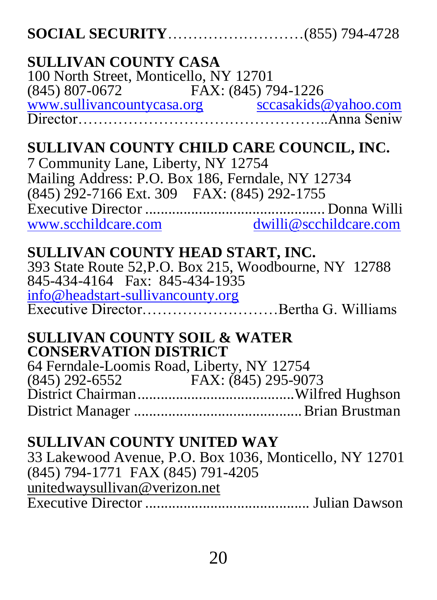| <b>SULLIVAN COUNTY CASA</b>                             |
|---------------------------------------------------------|
| 100 North Street, Monticello, NY 12701                  |
|                                                         |
|                                                         |
|                                                         |
| SULLIVAN COUNTY CHILD CARE COUNCIL, INC.                |
| 7 Community Lane, Liberty, NY 12754                     |
| Mailing Address: P.O. Box 186, Ferndale, NY 12734       |
| (845) 292-7166 Ext. 309 FAX: (845) 292-1755             |
|                                                         |
|                                                         |
| SULLIVAN COUNTY HEAD START, INC.                        |
| 393 State Route 52, P.O. Box 215, Woodbourne, NY 12788  |
| 845-434-4164 Fax: 845-434-1935                          |
|                                                         |
|                                                         |
| <b>SULLIVAN COUNTY SOIL &amp; WATER</b>                 |
| <b>CONSERVATION DISTRICT</b>                            |
| 64 Ferndale-Loomis Road, Liberty, NY 12754              |
|                                                         |
|                                                         |
|                                                         |
| <b>SULLIVAN COUNTY UNITED WAY</b>                       |
| 33 Lakewood Avenue, P.O. Box 1036, Monticello, NY 12701 |
| (845) 794-1771 FAX (845) 791-4205                       |
| unitedwaysullivan@verizon.net                           |
|                                                         |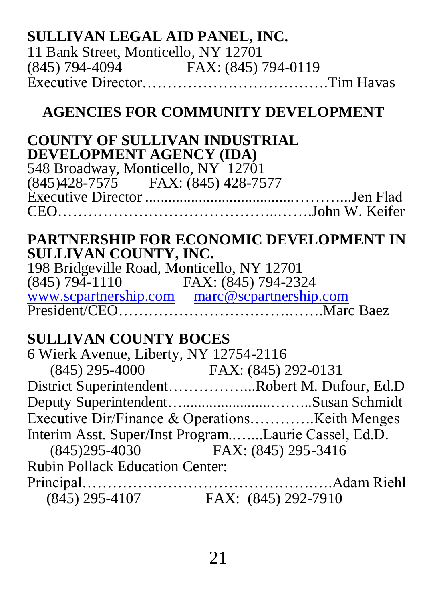## **SULLIVAN LEGAL AID PANEL, INC.**

11 Bank Street, Monticello, NY 12701 (845) 794-4094 FAX: (845) 794-0119 Executive Director……………………………….Tim Havas

## **AGENCIES FOR COMMUNITY DEVELOPMENT**

#### **COUNTY OF SULLIVAN INDUSTRIAL DEVELOPMENT AGENCY (IDA)**

548 Broadway, Monticello, NY 12701 (845)428-7575 FAX: (845) 428-7577 Executive Director .......................................………...Jen Flad CEO……………………………………..…….John W. Keifer

#### **PARTNERSHIP FOR ECONOMIC DEVELOPMENT IN SULLIVAN COUNTY, INC.**

198 Bridgeville Road, Monticello, NY 12701 (845) 794-1110 FAX: (845) 794-2324 [www.scpartnership.com](http://www.scpartnership.com/) [marc@scpartnership.com](mailto:marc@scpartnership.com) President/CEO………………………………………………………Marc Baez

## **SULLIVAN COUNTY BOCES**

| 6 Wierk Avenue, Liberty, NY 12754-2116 |                                                      |
|----------------------------------------|------------------------------------------------------|
| $(845)$ 295-4000 FAX: $(845)$ 292-0131 |                                                      |
|                                        | District SuperintendentRobert M. Dufour, Ed.D        |
|                                        |                                                      |
|                                        |                                                      |
|                                        | Interim Asst. Super/Inst ProgramLaurie Cassel, Ed.D. |
| (845) 295-4030 FAX: (845) 295-3416     |                                                      |
| <b>Rubin Pollack Education Center:</b> |                                                      |
|                                        |                                                      |
| $(845)$ 295-4107                       | FAX: (845) 292-7910                                  |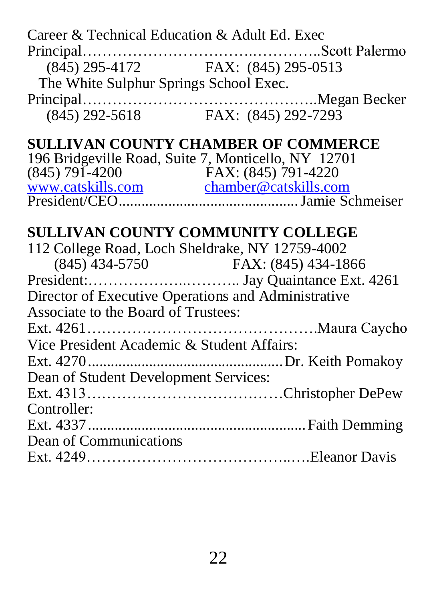| Career & Technical Education & Adult Ed. Exec                |  |
|--------------------------------------------------------------|--|
| (845) 295-4172 FAX: (845) 295-0513                           |  |
| The White Sulphur Springs School Exec.                       |  |
|                                                              |  |
| $(8\overline{4}5)$ 292-5618 FAX: $(8\overline{4}5)$ 292-7293 |  |
|                                                              |  |
| <b>SULLIVAN COUNTY CHAMBER OF COMMERCE</b>                   |  |
| 196 Bridgeville Road, Suite 7, Monticello, NY 12701          |  |
|                                                              |  |
|                                                              |  |
|                                                              |  |
|                                                              |  |
| <b>SULLIVAN COUNTY COMMUNITY COLLEGE</b>                     |  |
| 112 College Road, Loch Sheldrake, NY 12759-4002              |  |
|                                                              |  |
|                                                              |  |
| Director of Executive Operations and Administrative          |  |
| Associate to the Board of Trustees:                          |  |
|                                                              |  |
| Vice President Academic & Student Affairs:                   |  |
|                                                              |  |
| Dean of Student Development Services:                        |  |
|                                                              |  |
| Controller:                                                  |  |
|                                                              |  |
| Dean of Communications                                       |  |
|                                                              |  |
|                                                              |  |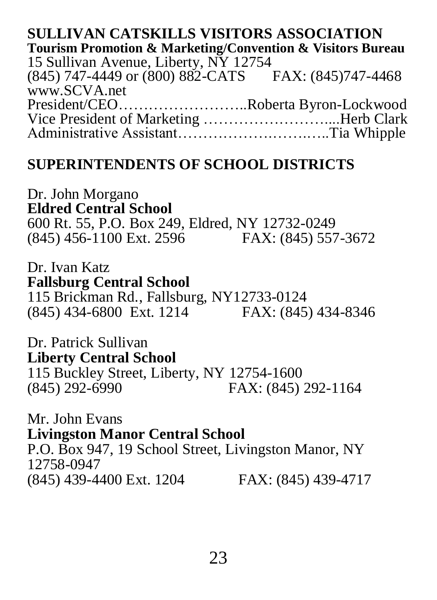#### **SULLIVAN CATSKILLS VISITORS ASSOCIATION Tourism Promotion & Marketing/Convention & Visitors Bureau** 15 Sullivan Avenue, Liberty, NY 12754 (845) 747-4449 or (800) 882-CATS FAX: (845)747-4468 www.SCVA.net President/CEO……………………..Roberta Byron-Lockwood Vice President of Marketing ……………………....Herb Clark Administrative Assistant……………….…….…..Tia Whipple

#### **SUPERINTENDENTS OF SCHOOL DISTRICTS**

Dr. John Morgano **Eldred Central School** 600 Rt. 55, P.O. Box 249, Eldred, NY 12732-0249 (845) 456-1100 Ext. 2596 FAX: (845) 557-3672

Dr. Ivan Katz **Fallsburg Central School** 115 Brickman Rd., Fallsburg, NY12733-0124 (845) 434-6800 Ext. 1214 FAX: (845) 434-8346

Dr. Patrick Sullivan **Liberty Central School** 115 Buckley Street, Liberty, NY 12754-1600<br>(845) 292-6990 FAX: (845) FAX: (845) 292-1164

Mr. John Evans **Livingston Manor Central School** P.O. Box 947, 19 School Street, Livingston Manor, NY 12758-0947 (845) 439-4400 Ext. 1204 FAX: (845) 439-4717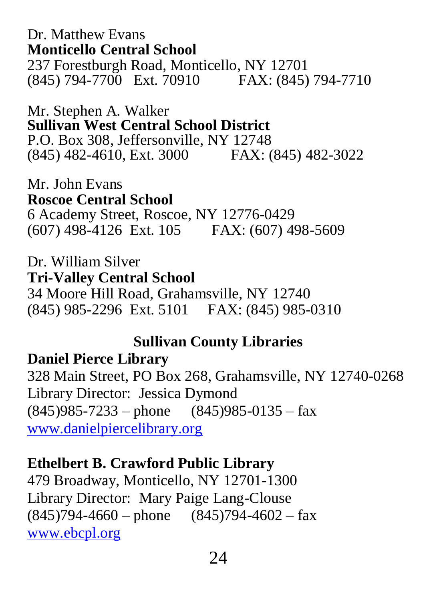Dr. Matthew Evans **Monticello Central School** 237 Forestburgh Road, Monticello, NY 12701 (845) 794-7700 Ext. 70910 FAX: (845) 794-7710

Mr. Stephen A. Walker **Sullivan West Central School District** P.O. Box 308, Jeffersonville, NY 12748 (845) 482-4610, Ext. 3000 FAX: (845) 482-3022

Mr. John Evans **Roscoe Central School** 6 Academy Street, Roscoe, NY 12776-0429 (607) 498-4126 Ext. 105 FAX: (607) 498-5609

Dr. William Silver **Tri-Valley Central School** 34 Moore Hill Road, Grahamsville, NY 12740 (845) 985-2296 Ext. 5101 FAX: (845) 985-0310

#### **Sullivan County Libraries**

#### **Daniel Pierce Library**

328 Main Street, PO Box 268, Grahamsville, NY 12740-0268 Library Director: Jessica Dymond  $(845)985 - 7233 -$  phone  $(845)985 - 0135 -$  fax [www.danielpiercelibrary.org](http://www.danielpiercelibrary.org/)

#### **Ethelbert B. Crawford Public Library**

479 Broadway, Monticello, NY 12701-1300 Library Director: Mary Paige Lang-Clouse  $(845)794-4660$  – phone  $(845)794-4602$  – fax [www.ebcpl.org](http://www.ebcrawfordlibrary.org/)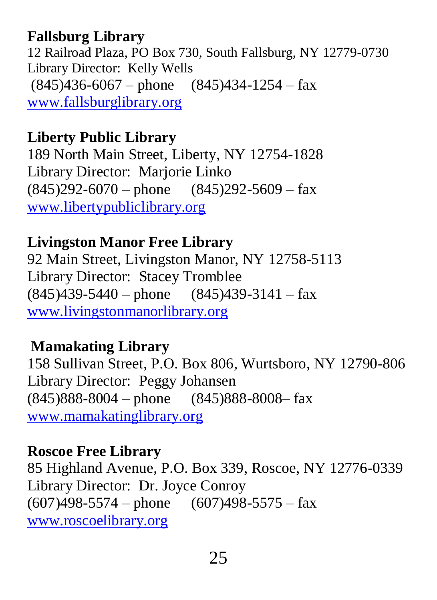## **Fallsburg Library**

12 Railroad Plaza, PO Box 730, South Fallsburg, NY 12779-0730 Library Director: Kelly Wells  $(845)436-6067$  – phone  $(845)434-1254$  – fax [www.fallsburglibrary.org](http://www.fallsburglibrary.org/)

## **Liberty Public Library**

189 North Main Street, Liberty, NY 12754-1828 Library Director: Marjorie Linko  $(845)292-6070$  – phone  $(845)292-5609$  – fax [www.libertypubliclibrary.org](http://www.libertypubliclibrary.org/)

## **Livingston Manor Free Library**

92 Main Street, Livingston Manor, NY 12758-5113 Library Director: Stacey Tromblee  $(845)439-5440$  – phone  $(845)439-3141$  – fax [www.livingstonmanorlibrary.org](http://www.livingstonmanorlibrary.org/)

## **Mamakating Library**

158 Sullivan Street, P.O. Box 806, Wurtsboro, NY 12790-806 Library Director: Peggy Johansen  $(845)888-8004$  – phone  $(845)888-8008$  fax [www.mamakatinglibrary.org](http://www.mamakatinglibrary.org/)

#### **Roscoe Free Library**

85 Highland Avenue, P.O. Box 339, Roscoe, NY 12776-0339 Library Director: Dr. Joyce Conroy  $(607)498-5574$  – phone  $(607)498-5575$  – fax [www.roscoelibrary.org](http://www.roscoelibrary.org/)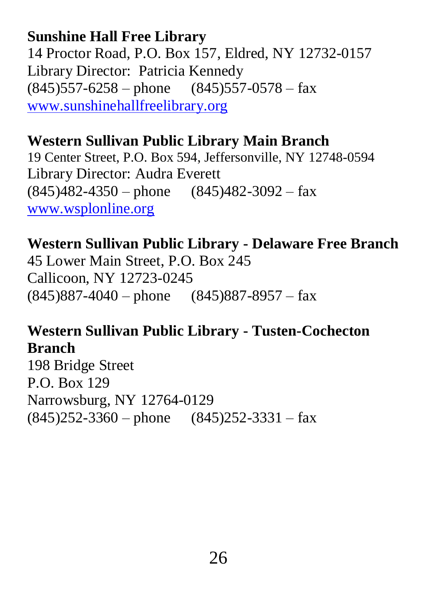## **Sunshine Hall Free Library**

14 Proctor Road, P.O. Box 157, Eldred, NY 12732-0157 Library Director: Patricia Kennedy  $(845)$ 557-6258 – phone  $(845)$ 557-0578 – fax [www.sunshinehallfreelibrary.org](http://www.sunshinehallfreelibrary.org/)

## **Western Sullivan Public Library Main Branch**

19 Center Street, P.O. Box 594, Jeffersonville, NY 12748-0594 Library Director: Audra Everett  $(845)482-4350$  – phone  $(845)482-3092$  – fax [www.wsplonline.org](http://www.wsplonline.org/)

#### **Western Sullivan Public Library - Delaware Free Branch**

45 Lower Main Street, P.O. Box 245 Callicoon, NY 12723-0245  $(845)887-4040$  – phone  $(845)887-8957$  – fax

## **Western Sullivan Public Library - Tusten-Cochecton Branch**

198 Bridge Street P.O. Box 129 Narrowsburg, NY 12764-0129 (845)252-3360 – phone (845)252-3331 – fax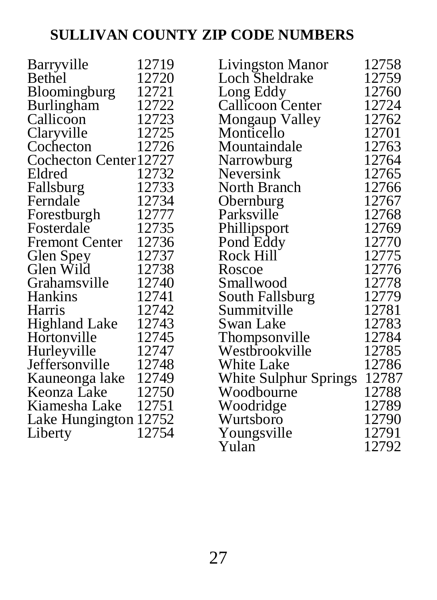# **SULLIVAN COUNTY ZIP CODE NUMBERS**

| Barryville             | 12719 | Livingston Manor              | 12758 |
|------------------------|-------|-------------------------------|-------|
| Bethel                 | 12720 | Loch Sheldrake                | 12759 |
| Bloomingburg           | 12721 |                               | 12760 |
| Burlingham             | 12722 | Long Eddy<br>Callicoon Center | 12724 |
| Callicoon              | 12723 | Mongaup Valley                | 12762 |
| Claryville             | 12725 | Monticello                    | 12701 |
| Cochecton              | 12726 | Mountaindale                  | 12763 |
| Cochecton Center 12727 |       | Narrowburg                    | 12764 |
| Eldred                 | 12732 | Neversink                     | 12765 |
| Fallsburg              | 12733 | North Branch                  | 12766 |
| Ferndale               | 12734 | Obernburg                     | 12767 |
| Forestburgh            | 12777 | Parksville                    | 12768 |
| Fosterdale             | 12735 | Phillipsport                  | 12769 |
| <b>Fremont Center</b>  | 12736 | Pond Eddy                     | 12770 |
| Glen Spey              | 12737 | Rock Hill                     | 12775 |
| Glen Wild              | 12738 | Roscoe                        | 12776 |
| Grahamsville           | 12740 | Smallwood                     | 12778 |
| Hankins                | 12741 | South Fallsburg               | 12779 |
| Harris                 | 12742 | Summitville                   | 12781 |
| <b>Highland Lake</b>   | 12743 | Swan Lake                     | 12783 |
| Hortonville            | 12745 | Thompsonville                 | 12784 |
| Hurleyville            | 12747 | Westbrookville                | 12785 |
| Jeffersonville         | 12748 | White Lake                    | 12786 |
| Kauneonga lake         | 12749 | White Sulphur Springs         | 12787 |
| Keonza Lake            | 12750 | Woodbourne                    | 12788 |
| Kiamesha Lake          | 12751 | Woodridge                     | 12789 |
| Lake Hungington 12752  |       | Wurtsboro                     | 12790 |
| Liberty                | 12754 | Youngsville                   | 12791 |
|                        |       | Yulan                         | 12792 |
|                        |       |                               |       |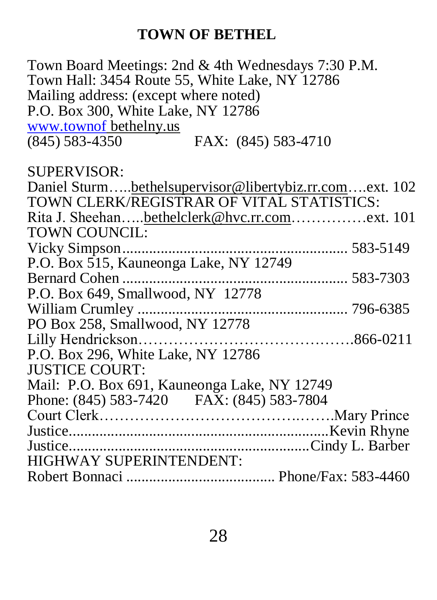# **TOWN OF BETHEL**

| Town Board Meetings: 2nd & 4th Wednesdays 7:30 P.M.    |
|--------------------------------------------------------|
| Town Hall: 3454 Route 55, White Lake, NY 12786         |
| Mailing address: (except where noted)                  |
| P.O. Box 300, White Lake, NY 12786                     |
| www.townof bethelny.us                                 |
| $(845)$ 583-4350<br>FAX: (845) 583-4710                |
| SUPERVISOR:                                            |
| Daniel Sturmbethelsupervisor@libertybiz.rr.comext. 102 |
| TOWN CLERK/REGISTRAR OF VITAL STATISTICS:              |
| Rita J. Sheehanbethelclerk@hvc.rr.comext. 101          |
| <b>TOWN COUNCIL:</b>                                   |
|                                                        |
| P.O. Box 515, Kauneonga Lake, NY 12749                 |
| Bernard Cohen                                          |
| P.O. Box 649, Smallwood, NY 12778                      |
|                                                        |
| PO Box 258, Smallwood, NY 12778                        |
|                                                        |
| P.O. Box 296, White Lake, NY 12786                     |
| <b>JUSTICE COURT:</b>                                  |
| Mail: P.O. Box 691, Kauneonga Lake, NY 12749           |
| Phone: (845) 583-7420 FAX: (845) 583-7804              |
|                                                        |
|                                                        |
|                                                        |
| HIGHWAY SUPERINTENDENT:                                |
|                                                        |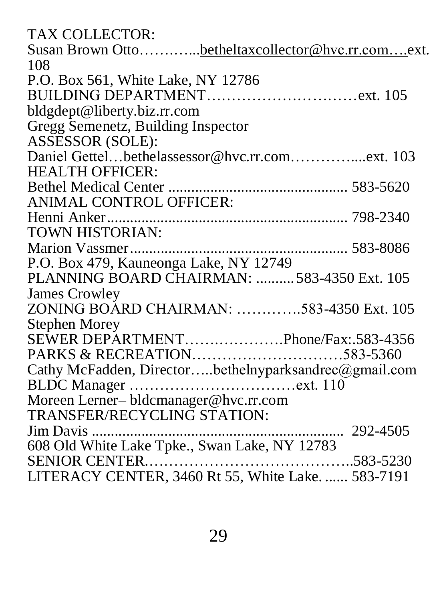| <b>TAX COLLECTOR:</b>                                 |
|-------------------------------------------------------|
| Susan Brown Ottobetheltaxcollector@hvc.rr.comext.     |
| 108                                                   |
| P.O. Box 561, White Lake, NY 12786                    |
|                                                       |
| bldgdept@liberty.biz.rr.com                           |
| Gregg Semenetz, Building Inspector                    |
| ASSESSOR (SOLE):                                      |
| Daniel Gettelbethelassessor@hvc.rr.comext. 103        |
| <b>HEALTH OFFICER:</b>                                |
|                                                       |
| ANIMAL CONTROL OFFICER:                               |
|                                                       |
| TOWN HISTORIAN:                                       |
|                                                       |
| P.O. Box 479, Kauneonga Lake, NY 12749                |
| PLANNING BOARD CHAIRMAN: 583-4350 Ext. 105            |
| James Crowley                                         |
| ZONING BOARD CHAIRMAN: 583-4350 Ext. 105              |
| <b>Stephen Morey</b>                                  |
| SEWER DEPARTMENTPhone/Fax:.583-4356                   |
| PARKS & RECREATION583-5360                            |
| Cathy McFadden, Directorbethelnyparksandrec@gmail.com |
|                                                       |
| Moreen Lerner-bldcmanager@hvc.rr.com                  |
| <b>TRANSFER/RECYCLING STATION:</b>                    |
|                                                       |
| 608 Old White Lake Tpke., Swan Lake, NY 12783         |
| SENIOR CENTER                                         |
| LITERACY CENTER, 3460 Rt 55, White Lake.  583-7191    |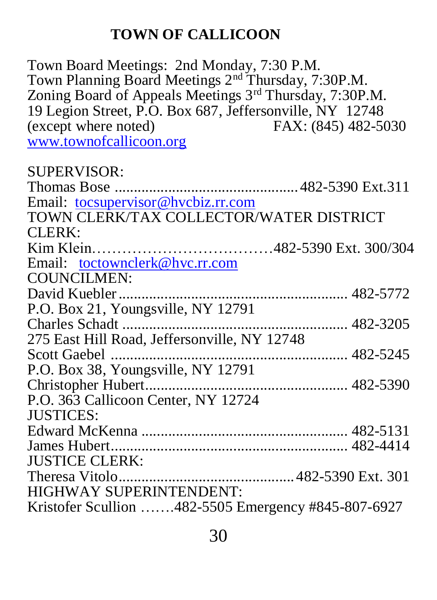## **TOWN OF CALLICOON**

Town Board Meetings: 2nd Monday, 7:30 P.M. Town Planning Board Meetings 2nd Thursday, 7:30P.M. Zoning Board of Appeals Meetings 3rd Thursday, 7:30P.M. 19 Legion Street, P.O. Box 687, Jeffersonville, NY 12748<br>(except where noted) FAX: (845) 482-5030 (except where noted) [www.townofcallicoon.org](http://www.townofcallicoon.org/)

SUPERVISOR: Thomas Bose ................................................ 482-5390 Ext.311 Email: [tocsupervisor@hvcbiz.rr.com](mailto:tocsupervisor@hvcbiz.rr.com) TOWN CLERK/TAX COLLECTOR/WATER DISTRICT CLERK: Kim Klein………………………………482-5390 Ext. 300/304 Email: [toctownclerk@hvc.rr.com](mailto:toctownclerk@hvc.rr.com) COUNCILMEN: David Kuebler............................................................ 482-5772 P.O. Box 21, Youngsville, NY 12791 Charles Schadt ........................................................... 482-3205 275 East Hill Road, Jeffersonville, NY 12748 Scott Gaebel .............................................................. 482-5245 P.O. Box 38, Youngsville, NY 12791 Christopher Hubert..................................................... 482-5390 P.O. 363 Callicoon Center, NY 12724 JUSTICES: Edward McKenna ...................................................... 482-5131 James Hubert.............................................................. 482-4414 JUSTICE CLERK: Theresa Vitolo.............................................. 482-5390 Ext. 301 HIGHWAY SUPERINTENDENT: Kristofer Scullion …….482-5505 Emergency #845-807-6927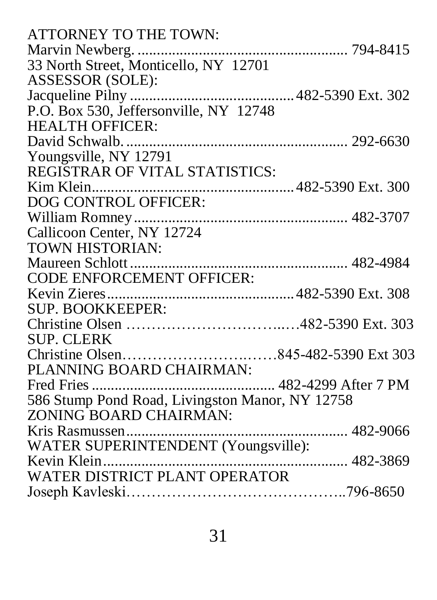| ATTORNEY TO THE TOWN:                           |          |
|-------------------------------------------------|----------|
|                                                 |          |
| 33 North Street, Monticello, NY 12701           |          |
| ASSESSOR (SOLE):                                |          |
|                                                 |          |
| P.O. Box 530, Jeffersonville, NY 12748          |          |
| <b>HEALTH OFFICER:</b>                          |          |
|                                                 |          |
| Youngsville, NY 12791                           |          |
| REGISTRAR OF VITAL STATISTICS:                  |          |
|                                                 |          |
|                                                 |          |
|                                                 |          |
| Callicoon Center, NY 12724                      |          |
| TOWN HISTORIAN:                                 |          |
|                                                 |          |
| CODE ENFORCEMENT OFFICER:                       |          |
|                                                 |          |
| SUP. BOOKKEEPER:                                |          |
|                                                 |          |
| <b>SUP. CLERK</b>                               |          |
|                                                 |          |
| PLANNING BOARD CHAIRMAN:                        |          |
|                                                 |          |
| 586 Stump Pond Road, Livingston Manor, NY 12758 |          |
| ZONING BOARD CHAIRMAN:                          |          |
|                                                 |          |
| WATER SUPERINTENDENT (Youngsville):             |          |
| Kevin Klein                                     | 482-3869 |
| WATER DISTRICT PLANT OPERATOR                   |          |
|                                                 |          |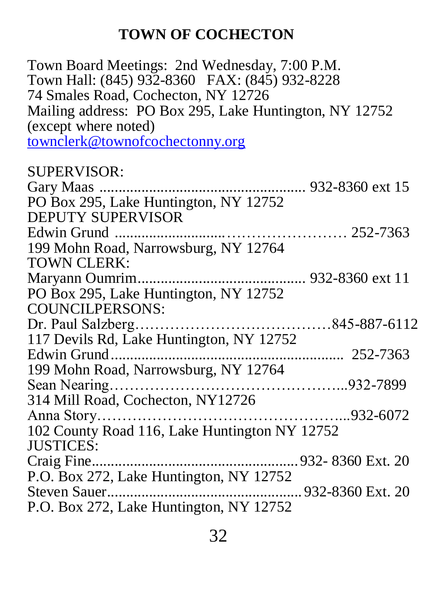# **TOWN OF COCHECTON**

| Town Board Meetings: 2nd Wednesday, 7:00 P.M.<br>Town Hall: (845) 932-8360 FAX: (845) 932-8228 |
|------------------------------------------------------------------------------------------------|
| 74 Smales Road, Cochecton, NY 12726                                                            |
| Mailing address: PO Box 295, Lake Huntington, NY 12752                                         |
| (except where noted)                                                                           |
| townclerk@townofcochectonny.org                                                                |
|                                                                                                |
| SUPERVISOR:                                                                                    |
|                                                                                                |
| PO Box 295, Lake Huntington, NY 12752                                                          |
| DEPUTY SUPERVISOR                                                                              |
|                                                                                                |
| 199 Mohn Road, Narrowsburg, NY 12764                                                           |
| <b>TOWN CLERK:</b>                                                                             |
|                                                                                                |
| PO Box 295, Lake Huntington, NY 12752                                                          |
| <b>COUNCILPERSONS:</b>                                                                         |
|                                                                                                |
| 117 Devils Rd, Lake Huntington, NY 12752                                                       |
|                                                                                                |
| 199 Mohn Road, Narrowsburg, NY 12764                                                           |
|                                                                                                |
| 314 Mill Road, Cochecton, NY12726                                                              |
|                                                                                                |
| 102 County Road 116, Lake Huntington NY 12752                                                  |
| <b>JUSTICES:</b>                                                                               |
|                                                                                                |
| P.O. Box 272, Lake Huntington, NY 12752                                                        |
|                                                                                                |
| P.O. Box 272, Lake Huntington, NY 12752                                                        |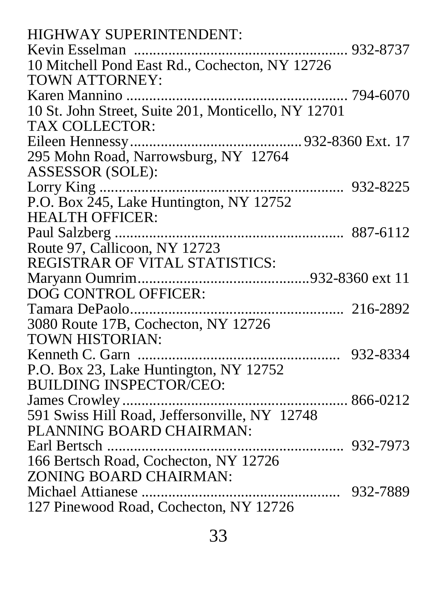| <b>HIGHWAY SUPERINTENDENT:</b>                                            |  |
|---------------------------------------------------------------------------|--|
|                                                                           |  |
| 10 Mitchell Pond East Rd., Cochecton, NY 12726                            |  |
| <b>TOWN ATTORNEY:</b>                                                     |  |
|                                                                           |  |
| 10 St. John Street, Suite 201, Monticello, NY 12701                       |  |
| TAX COLLECTOR:                                                            |  |
|                                                                           |  |
| 295 Mohn Road, Narrowsburg, NY 12764                                      |  |
| ASSESSOR (SOLE):                                                          |  |
|                                                                           |  |
|                                                                           |  |
| <b>HEALTH OFFICER:</b>                                                    |  |
|                                                                           |  |
| Route 97, Callicoon, NY 12723                                             |  |
| REGISTRAR OF VITAL STATISTICS:                                            |  |
|                                                                           |  |
|                                                                           |  |
| DOG CONTROL OFFICER:                                                      |  |
|                                                                           |  |
|                                                                           |  |
| 3080 Route 17B, Cochecton, NY 12726<br><b>TOWN HISTORIAN:</b>             |  |
|                                                                           |  |
| P.O. Box 23, Lake Huntington, NY 12752                                    |  |
| <b>BUILDING INSPECTOR/CEO:</b>                                            |  |
|                                                                           |  |
|                                                                           |  |
| 591 Swiss Hill Road, Jeffersonville, NY 12748<br>PLANNING BOARD CHAIRMAN: |  |
|                                                                           |  |
| 166 Bertsch Road, Cochecton, NY 12726                                     |  |
| ZONING BOARD CHAIRMAN:                                                    |  |
| 127 Pinewood Road, Cochecton, NY 12726                                    |  |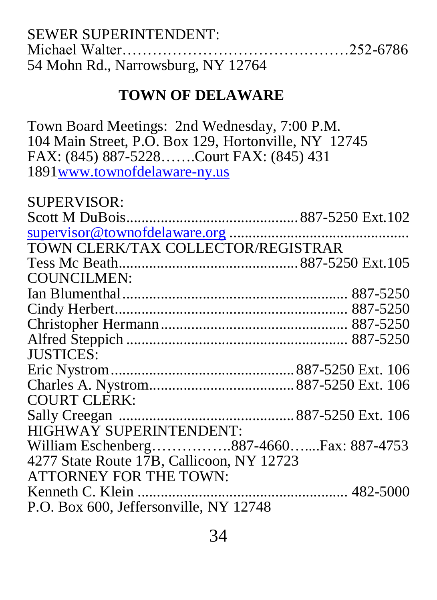| <b>SEWER SUPERINTENDENT:</b>       |  |
|------------------------------------|--|
|                                    |  |
| 54 Mohn Rd., Narrowsburg, NY 12764 |  |

#### **TOWN OF DELAWARE**

Town Board Meetings: 2nd Wednesday, 7:00 P.M. 104 Main Street, P.O. Box 129, Hortonville, NY 12745 FAX: (845) 887-5228…….Court FAX: (845) 431 1891www.townofdelaware-ny.us  $\alpha$ UPERVICOR $\alpha$ 

| NUPER VINURE                              |  |
|-------------------------------------------|--|
|                                           |  |
|                                           |  |
| TOWN CLERK/TAX COLLECTOR/REGISTRAR        |  |
|                                           |  |
| <b>COUNCILMEN:</b>                        |  |
|                                           |  |
|                                           |  |
|                                           |  |
|                                           |  |
| <b>JUSTICES:</b>                          |  |
|                                           |  |
|                                           |  |
| <b>COURT CLERK:</b>                       |  |
|                                           |  |
| <b>HIGHWAY SUPERINTENDENT:</b>            |  |
| William Eschenberg887-4660Fax: 887-4753   |  |
| 4277 State Route 17B, Callicoon, NY 12723 |  |
| <b>ATTORNEY FOR THE TOWN:</b>             |  |
|                                           |  |
| P.O. Box 600, Jeffersonville, NY 12748    |  |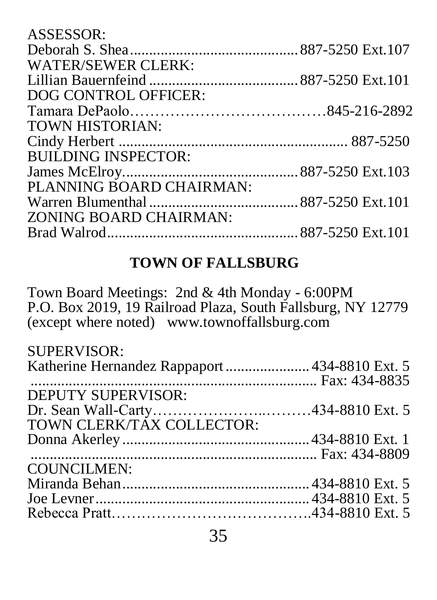| ASSESSOR:                  |  |
|----------------------------|--|
|                            |  |
| <b>WATER/SEWER CLERK:</b>  |  |
|                            |  |
| DOG CONTROL OFFICER:       |  |
|                            |  |
| <b>TOWN HISTORIAN:</b>     |  |
|                            |  |
| <b>BUILDING INSPECTOR:</b> |  |
|                            |  |
| PLANNING BOARD CHAIRMAN:   |  |
|                            |  |
| ZONING BOARD CHAIRMAN:     |  |
|                            |  |
|                            |  |

## **TOWN OF FALLSBURG**

Town Board Meetings: 2nd & 4th Monday - 6:00PM P.O. Box 2019, 19 Railroad Plaza, South Fallsburg, NY 12779 (except where noted) www.townoffallsburg.com

| SUPERVISOR:                        |  |
|------------------------------------|--|
|                                    |  |
|                                    |  |
| DEPUTY SUPERVISOR:                 |  |
| Dr. Sean Wall-Carty434-8810 Ext. 5 |  |
| TOWN CLERK/TÁX COLLECTOR:          |  |
|                                    |  |
|                                    |  |
| COUNCILMEN:                        |  |
|                                    |  |
|                                    |  |
|                                    |  |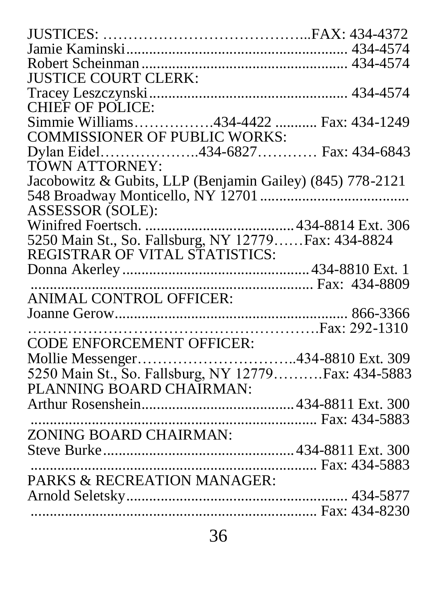| CHIEF OF POLICE:<br>Simmie Williams434-4422  Fax: 434-1249 |
|------------------------------------------------------------|
| <b>COMMISSIONER OF PUBLIC WORKS:</b>                       |
| Dylan Eidel434-6827 Fax: 434-6843                          |
|                                                            |
| Jacobowitz & Gubits, LLP (Benjamin Gailey) (845) 778-2121  |
|                                                            |
|                                                            |
|                                                            |
| 5250 Main St., So. Fallsburg, NY 12779 Fax: 434-8824       |
|                                                            |
|                                                            |
|                                                            |
|                                                            |
|                                                            |
|                                                            |
|                                                            |
| Mollie Messenger434-8810 Ext. 309                          |
| 5250 Main St., So. Fallsburg, NY 12779Fax: 434-5883        |
|                                                            |
|                                                            |
|                                                            |
|                                                            |
|                                                            |
|                                                            |
|                                                            |
|                                                            |
|                                                            |
|                                                            |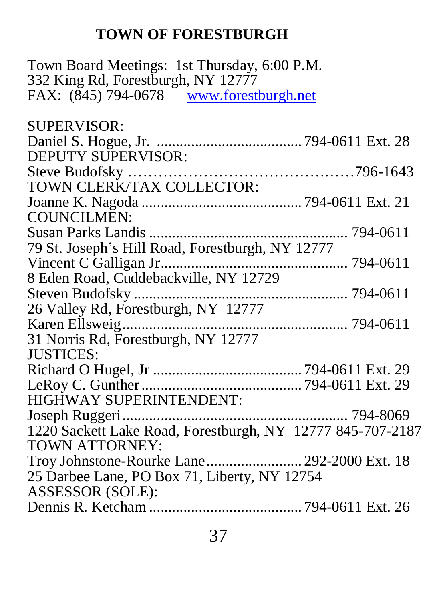## **TOWN OF FORESTBURGH**

Town Board Meetings: 1st Thursday, 6:00 P.M. 332 King Rd, Forestburgh, NY 12777 FAX: (845) 794-0678 [www.forestburgh.net](http://www.forestburgh.net/)

| <b>SUPERVISOR:</b>                                         |  |
|------------------------------------------------------------|--|
|                                                            |  |
| <b>DEPUTY SUPERVISOR:</b>                                  |  |
|                                                            |  |
| TOWN CLERK/TAX COLLECTOR:                                  |  |
|                                                            |  |
| <b>COUNCILMEN:</b>                                         |  |
|                                                            |  |
| 79 St. Joseph's Hill Road, Forestburgh, NY 12777           |  |
|                                                            |  |
| 8 Eden Road, Cuddebackville, NY 12729                      |  |
|                                                            |  |
| 26 Valley Rd, Forestburgh, NY 12777                        |  |
|                                                            |  |
| 31 Norris Rd, Forestburgh, NY 12777                        |  |
| <b>JUSTICES:</b>                                           |  |
|                                                            |  |
|                                                            |  |
| HIGHWAY SUPERINTENDENT:                                    |  |
|                                                            |  |
| 1220 Sackett Lake Road, Forestburgh, NY 12777 845-707-2187 |  |
| TOWN ATTORNEY:                                             |  |
| Troy Johnstone-Rourke Lane 292-2000 Ext. 18                |  |
| 25 Darbee Lane, PO Box 71, Liberty, NY 12754               |  |
| <b>ASSESSOR (SOLE):</b>                                    |  |
|                                                            |  |
|                                                            |  |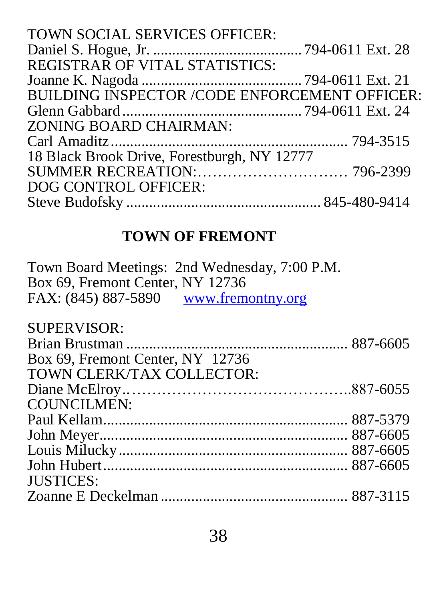| TOWN SOCIAL SERVICES OFFICER:                        |  |
|------------------------------------------------------|--|
|                                                      |  |
| <b>REGISTRAR OF VITAL STATISTICS:</b>                |  |
|                                                      |  |
| <b>BUILDING INSPECTOR /CODE ENFORCEMENT OFFICER:</b> |  |
|                                                      |  |
| ZONING BOARD CHAIRMAN:                               |  |
|                                                      |  |
| 18 Black Brook Drive, Forestburgh, NY 12777          |  |
|                                                      |  |
| DOG CONTROL OFFICER:                                 |  |
|                                                      |  |

## **TOWN OF FREMONT**

| Town Board Meetings: 2nd Wednesday, 7:00 P.M. |  |
|-----------------------------------------------|--|
| Box 69, Fremont Center, NY 12736              |  |
| FAX: (845) 887-5890 www.fremontny.org         |  |
|                                               |  |
| <b>SUPERVISOR:</b>                            |  |
|                                               |  |
| Box 69, Fremont Center, NY 12736              |  |
| TOWN CLERK/TAX COLLECTOR:                     |  |
|                                               |  |
| <b>COUNCILMEN:</b>                            |  |
|                                               |  |
|                                               |  |
|                                               |  |
|                                               |  |
| <b>JUSTICES:</b>                              |  |
|                                               |  |
|                                               |  |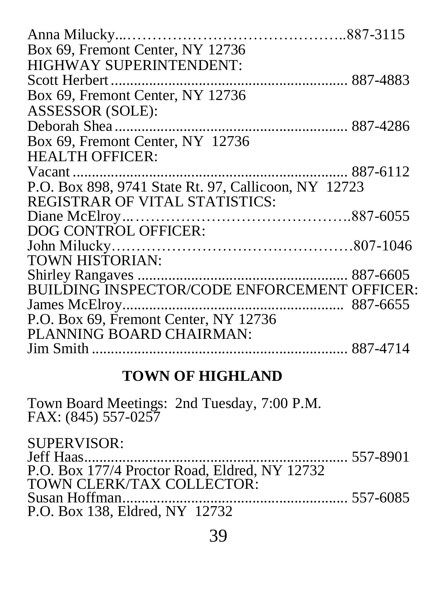| Box 69, Fremont Center, NY 12736                     |  |
|------------------------------------------------------|--|
| <b>HIGHWAY SUPERINTENDENT:</b>                       |  |
|                                                      |  |
| Box 69, Fremont Center, NY 12736                     |  |
| ASSESSOR (SOLE):                                     |  |
|                                                      |  |
| Box 69, Fremont Center, NY 12736                     |  |
| <b>HEALTH OFFICER:</b>                               |  |
|                                                      |  |
| P.O. Box 898, 9741 State Rt. 97, Callicoon, NY 12723 |  |
| <b>REGISTRAR OF VITAL STATISTICS:</b>                |  |
|                                                      |  |
| DOG CONTROL OFFICER:                                 |  |
|                                                      |  |
| TOWN HISTORIAN:                                      |  |
|                                                      |  |
| BUILDING INSPECTOR/CODE ENFORCEMENT OFFICER:         |  |
|                                                      |  |
| P.O. Box 69, Fremont Center, NY 12736                |  |
| PLANNING BOARD CHAIRMAN:                             |  |
|                                                      |  |

#### **TOWN OF HIGHLAND**

Town Board Meetings: 2nd Tuesday, 7:00 P.M. FAX: (845) 557-0257

SUPERVISOR: Jeff Haas..................................................................... 557-8901 P.O. Box 177/4 Proctor Road, Eldred, NY 12732 TOWN CLERK/TAX COLLECTOR: Susan Hoffman........................................................... 557-6085 P.O. Box 138, Eldred, NY 12732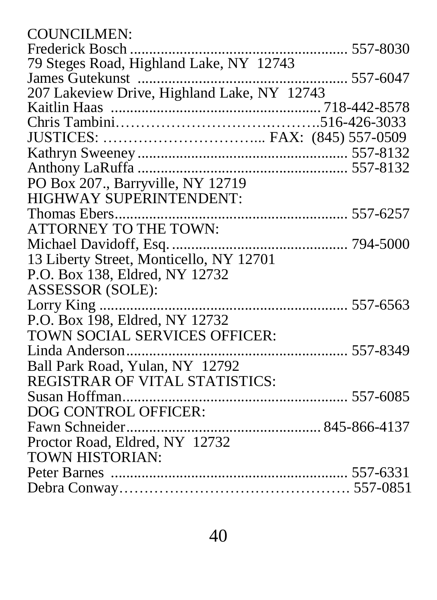| <b>COUNCILMEN:</b>                      |          |
|-----------------------------------------|----------|
|                                         | 557-8030 |
| 79 Steges Road, Highland Lake, NY 12743 |          |
|                                         |          |
|                                         |          |
|                                         |          |
|                                         |          |
|                                         |          |
|                                         |          |
|                                         |          |
| PO Box 207., Barryville, NY 12719       |          |
| HIGHWAY SUPERINTENDENT:                 |          |
|                                         |          |
| ATTORNEY TO THE TOWN:                   |          |
|                                         |          |
| 13 Liberty Street, Monticello, NY 12701 |          |
| P.O. Box 138, Eldred, NY 12732          |          |
| ASSESSOR (SOLE):                        |          |
|                                         |          |
| P.O. Box 198, Eldred, NY 12732          |          |
| TOWN SOCIAL SERVICES OFFICER:           |          |
|                                         |          |
| Ball Park Road, Yulan, NY 12792         |          |
| REGISTRAR OF VITAL STATISTICS:          |          |
|                                         |          |
| DOG CONTROL OFFICER:                    |          |
|                                         |          |
| Proctor Road, Eldred, NY 12732          |          |
| TOWN HISTORIAN:                         |          |
|                                         |          |
|                                         |          |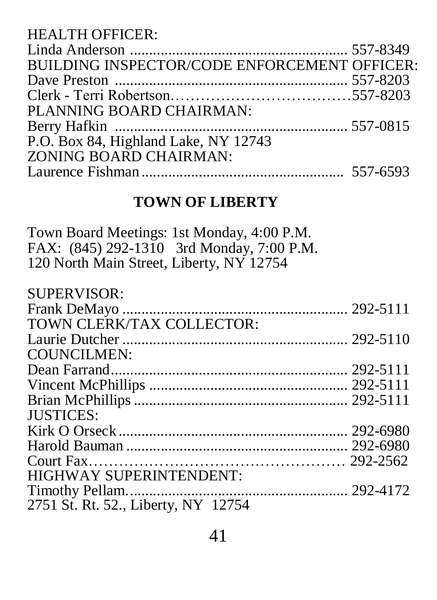| <b>BUILDING INSPECTOR/CODE ENFORCEMENT OFFICER:</b> |
|-----------------------------------------------------|
|                                                     |
|                                                     |
|                                                     |
|                                                     |
|                                                     |
|                                                     |
|                                                     |
|                                                     |

#### **TOWN OF LIBERTY**

Town Board Meetings: 1st Monday, 4:00 P.M. FAX: (845) 292-1310 3rd Monday, 7:00 P.M. 120 North Main Street, Liberty, NY 12754

| <b>SUPERVISOR:</b>                  |  |
|-------------------------------------|--|
|                                     |  |
| TOWN CLERK/TAX COLLECTOR:           |  |
|                                     |  |
| <b>COUNCILMEN:</b>                  |  |
|                                     |  |
|                                     |  |
|                                     |  |
| <b>JUSTICES:</b>                    |  |
|                                     |  |
|                                     |  |
|                                     |  |
| <b>HIGHWAY SUPERINTENDENT:</b>      |  |
|                                     |  |
| 2751 St. Rt. 52., Liberty, NY 12754 |  |
|                                     |  |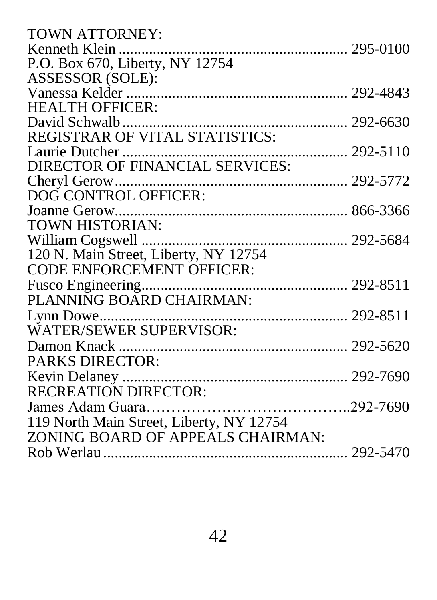| <b>TOWN ATTORNEY:</b>                    |  |
|------------------------------------------|--|
|                                          |  |
| P.O. Box 670, Liberty, NY 12754          |  |
| ASSESSOR (SOLE):                         |  |
|                                          |  |
| <b>HEALTH OFFICER:</b>                   |  |
|                                          |  |
| REGISTRAR OF VITAL STATISTICS:           |  |
|                                          |  |
|                                          |  |
|                                          |  |
| DOG CONTROL OFFICER:                     |  |
|                                          |  |
| TOWN HISTORIAN:                          |  |
|                                          |  |
| 120 N. Main Street, Liberty, NY 12754    |  |
| <b>CODE ENFORCEMENT OFFICER:</b>         |  |
| Fusco Engineering                        |  |
| PLANNING BOARD CHAIRMAN:                 |  |
|                                          |  |
| <b>WATER/SEWER SUPERVISOR:</b>           |  |
|                                          |  |
| <b>PARKS DIRECTOR:</b>                   |  |
|                                          |  |
| <b>RECREATION DIRECTOR:</b>              |  |
|                                          |  |
| 119 North Main Street, Liberty, NY 12754 |  |
| ZONING BOARD OF APPEALS CHAIRMAN:        |  |
|                                          |  |
|                                          |  |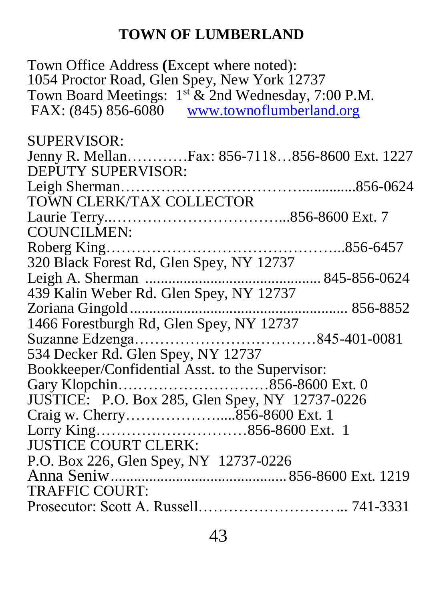#### **TOWN OF LUMBERLAND**

Town Office Address **(**Except where noted): 1054 Proctor Road, Glen Spey, New York 12737 Town Board Meetings:  $1^{st}$  & 2nd Wednesday, 7:00 P.M. FAX: (845) 856-6080 [www.townoflumberland.org](http://www.townoflumberland.org/) SUPERVISOR: Jenny R. Mellan…………Fax: 856-7118…856-8600 Ext. 1227 DEPUTY SUPERVISOR: Leigh Sherman………………………………..............856-0624 TOWN CLERK/TAX COLLECTOR Laurie Terry..……………………………...856-8600 Ext. 7 COUNCILMEN: Roberg King………………………………………...856-6457 320 Black Forest Rd, Glen Spey, NY 12737 Leigh A. Sherman .............................................. 845-856-0624 439 Kalin Weber Rd. Glen Spey, NY 12737 Zoriana Gingold ......................................................... 856-8852 1466 Forestburgh Rd, Glen Spey, NY 12737 Suzanne Edzenga………………………………845-401-0081 534 Decker Rd. Glen Spey, NY 12737 Bookkeeper/Confidential Asst. to the Supervisor: Gary Klopchin…………………………856-8600 Ext. 0 JUSTICE: P.O. Box 285, Glen Spey, NY 12737-0226 Craig w. Cherry……………….....856-8600 Ext. 1 Lorry King…………………………856-8600 Ext. 1 JUSTICE COURT CLERK: P.O. Box 226, Glen Spey, NY 12737-0226 Anna Seniw.............................................. 856-8600 Ext. 1219 TRAFFIC COURT. Prosecutor: Scott A. Russell………………………... 741-3331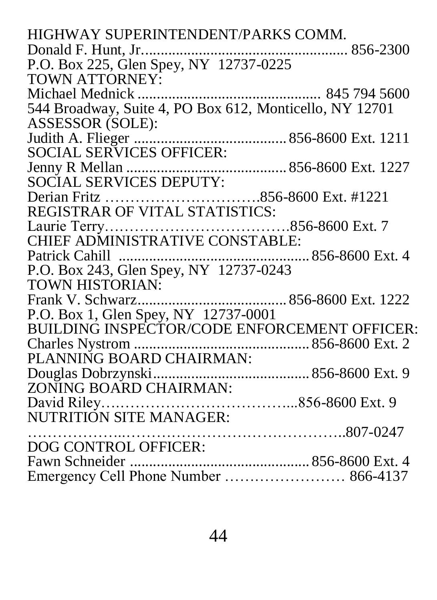| HIGHWAY SUPERINTENDENT/PARKS COMM.                      |
|---------------------------------------------------------|
|                                                         |
|                                                         |
| <b>TOWN ATTORNEY:</b>                                   |
|                                                         |
| 544 Broadway, Suite 4, PO Box 612, Monticello, NY 12701 |
| ASSESSOR (SOLE):                                        |
|                                                         |
|                                                         |
|                                                         |
| <b>SOCIAL SERVICES DEPUTY:</b>                          |
|                                                         |
|                                                         |
|                                                         |
|                                                         |
|                                                         |
|                                                         |
| <b>TOWN HISTORIAN:</b>                                  |
|                                                         |
| P.O. Box 1, Glen Spey, NY 12737-0001                    |
| BUILDING INSPECTOR/CODE ENFORCEMENT OFFICER:            |
|                                                         |
| PLANNING BOARD CHAIRMAN:                                |
|                                                         |
| ZONING BOARD CHAIRMAN:                                  |
|                                                         |
| NUTRITIÓN SITE MANAGER:                                 |
|                                                         |
| DOG CONTROL OFFICER:                                    |
|                                                         |
| Emergency Cell Phone Number  866-4137                   |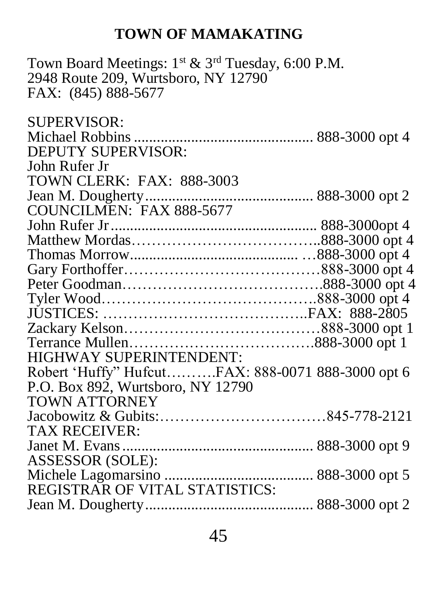#### **TOWN OF MAMAKATING**

Town Board Meetings:  $1^{st}$  &  $3^{rd}$  Tuesday, 6:00 P.M. 2948 Route 209, Wurtsboro, NY 12790 FAX: (845) 888-5677

SUPERVISOR: Michael Robbins............................................... 888-3000 opt 4 DEPUTY SUPERVISOR: John Rufer Jr TOWN CLERK: FAX: 888-3003 Jean M. Dougherty............................................ 888-3000 opt 2 COUNCILMEN: FAX 888-5677 John Rufer Jr...................................................... 888-3000opt 4 Matthew Mordas………………………………..888-3000 opt 4 Thomas Morrow............................................ …888-3000 opt 4 Gary Forthoffer…………………………………888-3000 opt 4 Peter Goodman………………………………….888-3000 opt 4 Tyler Wood…………………………………….888-3000 opt 4 JUSTICES: …………………………………..FAX: 888-2805 Zackary Kelson…………………………………888-3000 opt 1 Terrance Mullen……………………………….888-3000 opt 1 HIGHWAY SUPERINTENDENT: Robert 'Huffy" Hufcut……….FAX: 888-0071 888-3000 opt 6 P.O. Box 892, Wurtsboro, NY 12790 TOWN ATTORNEY Jacobowitz & Gubits:……………………………845-778-2121 TAX RECEIVER: Janet M. Evans.................................................. 888-3000 opt 9 ASSESSOR (SOLE): Michele Lagomarsino ....................................... 888-3000 opt 5 REGISTRAR OF VITAL STATISTICS: Jean M. Dougherty............................................ 888-3000 opt 2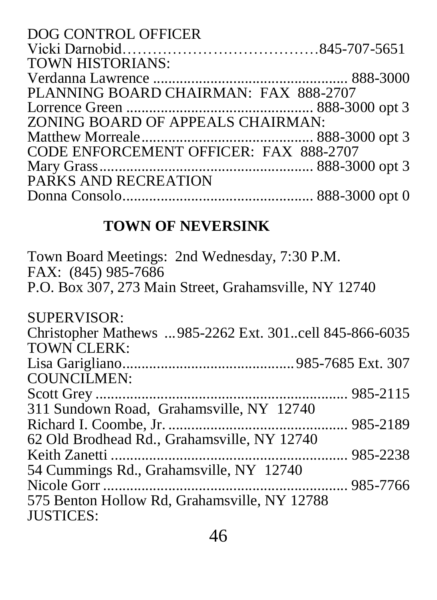| DOG CONTROL OFFICER                    |  |
|----------------------------------------|--|
|                                        |  |
| <b>TOWN HISTORIANS:</b>                |  |
|                                        |  |
| PLANNING BOARD CHAIRMAN: FAX 888-2707  |  |
|                                        |  |
| ZONING BOARD OF APPEALS CHAIRMAN:      |  |
|                                        |  |
| CODE ENFORCEMENT OFFICER: FAX 888-2707 |  |
|                                        |  |
| PARKS AND RECREATION                   |  |
|                                        |  |

# **TOWN OF NEVERSINK**

| Town Board Meetings: 2nd Wednesday, 7:30 P.M.<br>FAX: (845) 985-7686<br>P.O. Box 307, 273 Main Street, Grahamsville, NY 12740 |  |
|-------------------------------------------------------------------------------------------------------------------------------|--|
| <b>SUPERVISOR:</b>                                                                                                            |  |
| Christopher Mathews 985-2262 Ext. 301cell 845-866-6035                                                                        |  |
| <b>TOWN CLERK:</b>                                                                                                            |  |
|                                                                                                                               |  |
| <b>COUNCILMEN:</b>                                                                                                            |  |
|                                                                                                                               |  |
| 311 Sundown Road, Grahamsville, NY 12740                                                                                      |  |
|                                                                                                                               |  |
| 62 Old Brodhead Rd., Grahamsville, NY 12740                                                                                   |  |
|                                                                                                                               |  |
| 54 Cummings Rd., Grahamsville, NY 12740                                                                                       |  |
|                                                                                                                               |  |
| 575 Benton Hollow Rd, Grahamsville, NY 12788                                                                                  |  |
| <b>JUSTICES:</b>                                                                                                              |  |
|                                                                                                                               |  |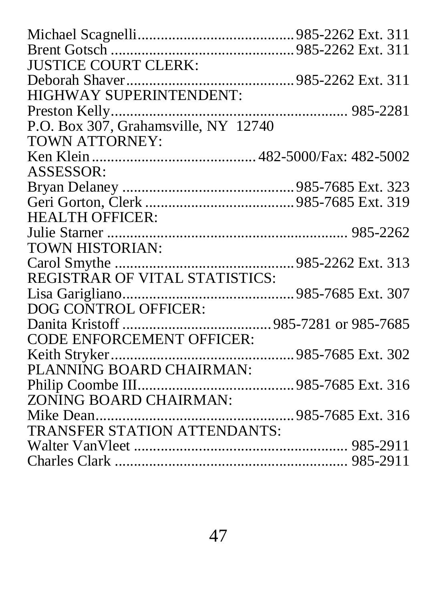| <b>JUSTICE COURT CLERK:</b>          |  |
|--------------------------------------|--|
|                                      |  |
| HIGHWAY SUPERINTENDENT:              |  |
|                                      |  |
| P.O. Box 307, Grahamsville, NY 12740 |  |
| <b>TOWN ATTORNEY:</b>                |  |
|                                      |  |
| ASSESSOR:                            |  |
|                                      |  |
|                                      |  |
| <b>HEALTH OFFICER:</b>               |  |
|                                      |  |
| TOWN HISTORIAN:                      |  |
|                                      |  |
| REGISTRAR OF VITAL STATISTICS:       |  |
|                                      |  |
| DOG CONTROL OFFICER:                 |  |
|                                      |  |
| <b>CODE ENFORCEMENT OFFICER:</b>     |  |
|                                      |  |
| PLANNING BOARD CHAIRMAN:             |  |
|                                      |  |
| ZONING BOARD CHAIRMAN:               |  |
|                                      |  |
| TRANSFER STATION ATTENDANTS:         |  |
|                                      |  |
|                                      |  |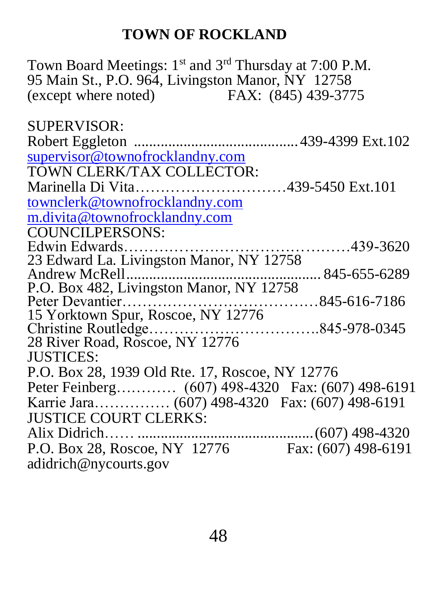#### **TOWN OF ROCKLAND**

Town Board Meetings: 1st and 3rd Thursday at 7:00 P.M. 95 Main St., P.O. 964, Livingston Manor, NY 12758 (except where noted) FAX: (845) 439-3775

SUPERVISOR: Robert Eggleton ........................................... 439-4399 Ext.102 supervisor@townofrocklandny.com TOWN CLERK/TAX COLLECTOR: Marinella Di Vita…………………………439-5450 Ext.101 [townclerk@townofrocklandny.com](mailto:townclerk@townofrocklandny.com) m.divita@townofrocklandny.com COUNCILPERSONS: Edwin Edwards………………………………………439-3620 23 Edward La. Livingston Manor, NY 12758 Andrew McRell................................................... 845-655-6289 P.O. Box 482, Livingston Manor, NY 12758 Peter Devantier…………………………………845-616-7186 15 Yorktown Spur, Roscoe, NY 12776 Christine Routledge…………………………….845-978-0345 28 River Road, Roscoe, NY 12776 JUSTICES: P.O. Box 28, 1939 Old Rte. 17, Roscoe, NY 12776 Peter Feinberg………… (607) 498-4320 Fax: (607) 498-6191 Karrie Jara…………… (607) 498-4320 Fax: (607) 498-6191 JUSTICE COURT CLERKS: Alix Didrich…… ..............................................(607) 498-4320 P.O. Box 28, Roscoe, NY 12776 Fax: (607) 498-6191 adidrich@nycourts.gov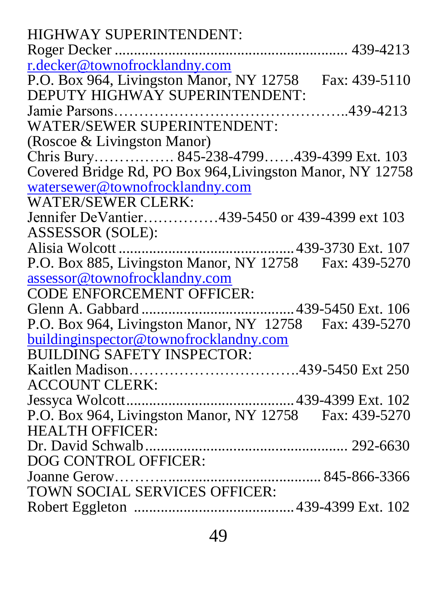| <b>HIGHWAY SUPERINTENDENT:</b>                            |
|-----------------------------------------------------------|
|                                                           |
| r.decker@townofrocklandny.com                             |
| P.O. Box 964, Livingston Manor, NY 12758 Fax: 439-5110    |
| DEPUTY HIGHWAY SUPERINTENDENT:                            |
|                                                           |
| WATER/SEWER SUPERINTENDENT:                               |
| (Roscoe & Livingston Manor)                               |
| Chris Bury 845-238-4799439-4399 Ext. 103                  |
| Covered Bridge Rd, PO Box 964, Livingston Manor, NY 12758 |
| watersewer@townofrocklandny.com                           |
| <b>WATER/SEWER CLERK:</b>                                 |
| Jennifer DeVantier439-5450 or 439-4399 ext 103            |
| ASSESSOR (SOLE):                                          |
|                                                           |
| P.O. Box 885, Livingston Manor, NY 12758 Fax: 439-5270    |
| assessor@townofrocklandny.com                             |
| <b>CODE ENFORCEMENT OFFICER:</b>                          |
|                                                           |
| P.O. Box 964, Livingston Manor, NY 12758 Fax: 439-5270    |
| buildinginspector@townofrocklandny.com                    |
| <b>BUILDING SAFETY INSPECTOR:</b>                         |
|                                                           |
| ACCOUNT CLERK:                                            |
|                                                           |
| P.O. Box 964, Livingston Manor, NY 12758 Fax: 439-5270    |
| <b>HEALTH OFFICER:</b>                                    |
|                                                           |
| DOG CONTROL OFFICER:                                      |
| Joanne Gerow                                              |
| TOWN SOCIAL SERVICES OFFICER:                             |
|                                                           |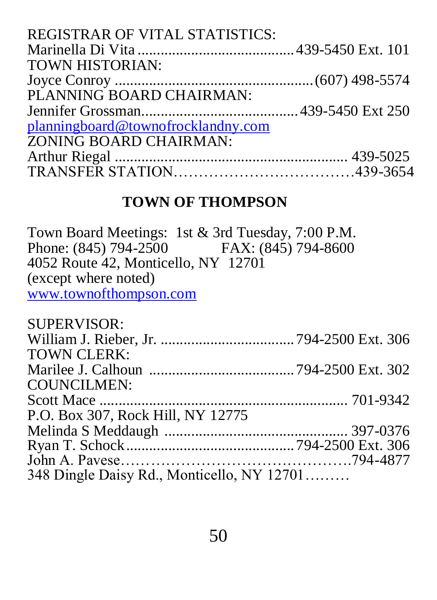#### **TOWN OF THOMPSON**

Town Board Meetings: 1st & 3rd Tuesday, 7:00 P.M. Phone: (845) 794-2500 FAX: (845) 794-8600 4052 Route 42, Monticello, NY 12701 (except where noted) [www.townofthompson.com](http://www.townofthompson.com/)

| <b>SUPERVISOR:</b>                         |  |
|--------------------------------------------|--|
|                                            |  |
| <b>TOWN CLERK:</b>                         |  |
|                                            |  |
| COUNCILMEN:                                |  |
|                                            |  |
| P.O. Box 307, Rock Hill, NY 12775          |  |
|                                            |  |
|                                            |  |
|                                            |  |
| 348 Dingle Daisy Rd., Monticello, NY 12701 |  |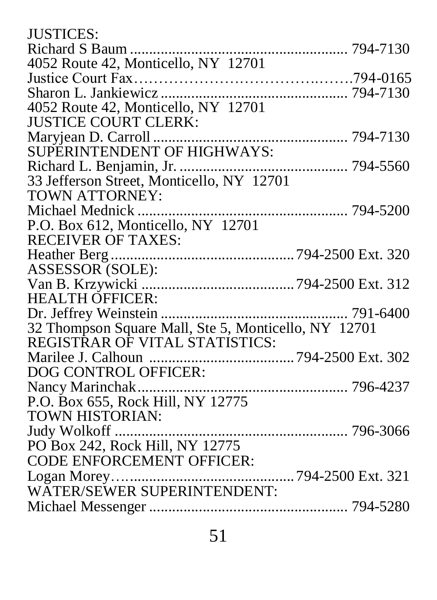| <b>JUSTICES:</b>                                     |  |
|------------------------------------------------------|--|
|                                                      |  |
| 4052 Route 42, Monticello, NY 12701                  |  |
|                                                      |  |
|                                                      |  |
| 4052 Route 42, Monticello, NY 12701                  |  |
| <b>JUSTICE COURT CLERK:</b>                          |  |
|                                                      |  |
|                                                      |  |
|                                                      |  |
|                                                      |  |
| <b>TOWN ATTORNEY:</b>                                |  |
| Michael Mednick                                      |  |
| P.O. Box 612, Monticello, NY 12701                   |  |
| <b>RECEIVER OF TAXES:</b>                            |  |
|                                                      |  |
| ASSESSOR (SOLE):                                     |  |
|                                                      |  |
| <b>HEALTH OFFICER:</b>                               |  |
|                                                      |  |
| 32 Thompson Square Mall, Ste 5, Monticello, NY 12701 |  |
| REGISTRAR OF VITAL STATISTICS:                       |  |
|                                                      |  |
| DOG CONTROL OFFICER:                                 |  |
|                                                      |  |
| P.O. Box 655, Rock Hill, NY 12775                    |  |
| <b>TOWN HISTORIAN:</b>                               |  |
|                                                      |  |
| PO Box 242, Rock Hill, NY 12775                      |  |
| <b>CODE ENFORCEMENT OFFICER:</b>                     |  |
|                                                      |  |
|                                                      |  |
|                                                      |  |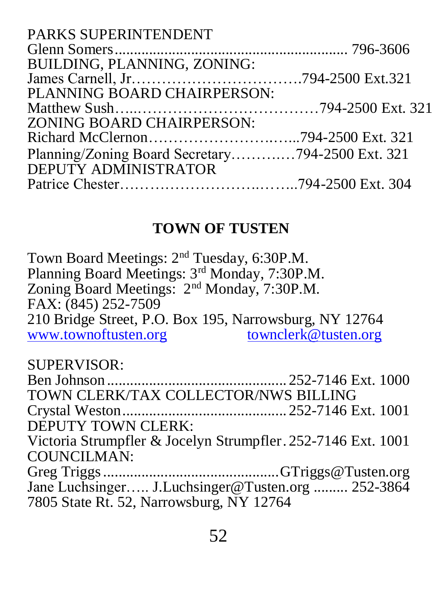| <b>PARKS SUPERINTENDENT</b>                      |  |
|--------------------------------------------------|--|
|                                                  |  |
| BUILDING, PLANNING, ZONING:                      |  |
|                                                  |  |
| PLANNING BOARD CHAIRPERSON:                      |  |
|                                                  |  |
| ZONING BOARD CHAIRPERSON:                        |  |
|                                                  |  |
| Planning/Zoning Board Secretary794-2500 Ext. 321 |  |
| DEPUTY ADMINISTRATOR                             |  |
|                                                  |  |
|                                                  |  |

#### **TOWN OF TUSTEN**

Town Board Meetings: 2<sup>nd</sup> Tuesday, 6:30P.M. Planning Board Meetings: 3rd Monday, 7:30P.M. Zoning Board Meetings: 2nd Monday, 7:30P.M. FAX: (845) 252-7509 210 Bridge Street, P.O. Box 195, Narrowsburg, NY 12764 [www.townoftusten.org](http://www.townoftusten.org/) townclerk@tusten.org SUPERVISOR: Ben Johnson ............................................... 252-7146 Ext. 1000 TOWN CLERK/TAX COLLECTOR/NWS BILLING Crystal Weston........................................... 252-7146 Ext. 1001

DEPUTY TOWN CLERK:

Victoria Strumpfler & Jocelyn Strumpfler. 252-7146 Ext. 1001 COUNCILMAN:

Greg Triggs..............................................GTriggs@Tusten.org Jane Luchsinger..... J.Luchsinger@Tusten.org ......... 252-3864 7805 State Rt. 52, Narrowsburg, NY 12764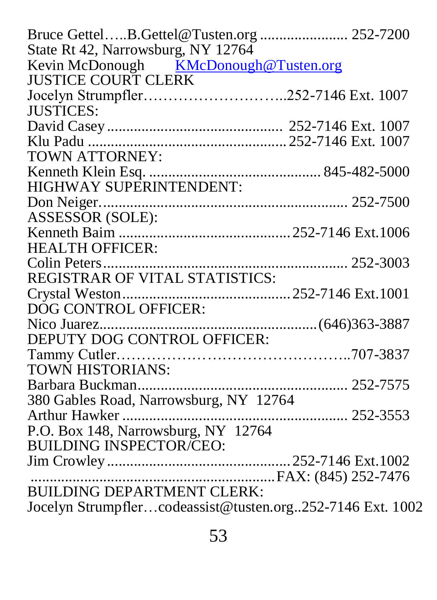| Bruce GettelB.Gettel@Tusten.org  252-7200                 |          |
|-----------------------------------------------------------|----------|
| State Rt 42, Narrowsburg, NY 12764                        |          |
| Kevin McDonough KMcDonough@Tusten.org                     |          |
| <b>JUSTICE COURT CLERK</b>                                |          |
|                                                           |          |
| <b>JUSTICES:</b>                                          |          |
|                                                           |          |
|                                                           |          |
| <b>TOWN ATTORNEY:</b>                                     |          |
|                                                           |          |
| HIGHWAY SUPERINTENDENT:                                   |          |
|                                                           |          |
| ASSESSOR (SOLE):                                          |          |
|                                                           |          |
| <b>HEALTH OFFICER:</b>                                    |          |
|                                                           |          |
| REGISTRAR OF VITAL STATISTICS:                            |          |
|                                                           |          |
| DOG CONTROL OFFICER:                                      |          |
|                                                           |          |
| DEPUTY DOG CONTROL OFFICER:                               |          |
|                                                           |          |
| TOWN HISTORIANS:                                          |          |
| Barbara Buckman                                           | 252-7575 |
| 380 Gables Road, Narrowsburg, NY 12764                    |          |
|                                                           |          |
| P.O. Box 148, Narrowsburg, NY 12764                       |          |
| <b>BUILDING INSPECTOR/CEO:</b>                            |          |
|                                                           |          |
|                                                           |          |
| <b>BUILDING DEPARTMENT CLERK:</b>                         |          |
| Jocelyn Strumpflercodeassist@tusten.org252-7146 Ext. 1002 |          |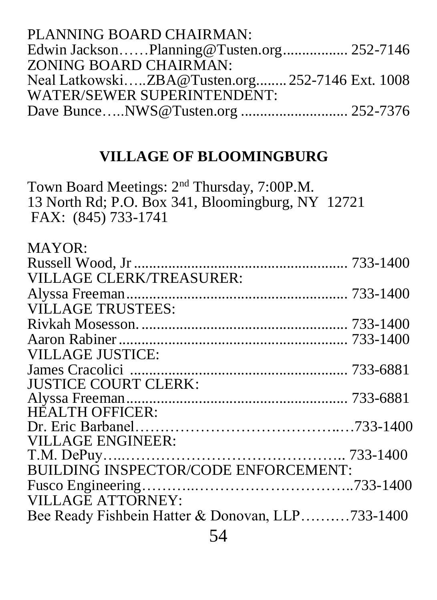| Edwin JacksonPlanning@Tusten.org 252-7146       |
|-------------------------------------------------|
|                                                 |
| Neal LatkowskiZBA@Tusten.org 252-7146 Ext. 1008 |
|                                                 |
|                                                 |
|                                                 |

## **VILLAGE OF BLOOMINGBURG**

Town Board Meetings: 2<sup>nd</sup> Thursday, 7:00P.M. 13 North Rd; P.O. Box 341, Bloomingburg, NY 12721 FAX: (845) 733-1741

| <b>MAYOR:</b>                                    |  |
|--------------------------------------------------|--|
|                                                  |  |
| VILLAGE CLERK/TREASURER:                         |  |
|                                                  |  |
| <b>VILLAGE TRUSTEES:</b>                         |  |
|                                                  |  |
|                                                  |  |
| <b>VILLAGE JUSTICE:</b>                          |  |
|                                                  |  |
| <b>JUSTICE COURT CLERK:</b>                      |  |
|                                                  |  |
| <b>HEALTH OFFICER:</b>                           |  |
|                                                  |  |
| <b>VILLAGE ENGINEER:</b>                         |  |
|                                                  |  |
| <b>BUILDING INSPECTOR/CODE ENFORCEMENT:</b>      |  |
|                                                  |  |
| <b>VILLAGE ATTORNEY:</b>                         |  |
| Bee Ready Fishbein Hatter & Donovan, LLP733-1400 |  |
| $\epsilon$ $\sim$ $\epsilon$                     |  |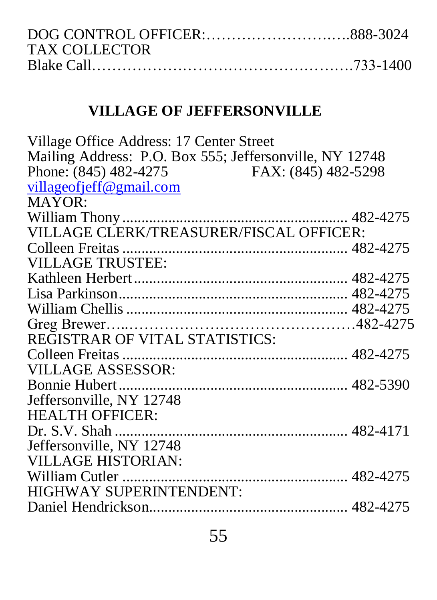| TAX COLLECTOR_ |  |
|----------------|--|
|                |  |

## **VILLAGE OF JEFFERSONVILLE**

| Village Office Address: 17 Center Street                |  |
|---------------------------------------------------------|--|
| Mailing Address: P.O. Box 555; Jeffersonville, NY 12748 |  |
| Phone: (845) 482-4275<br>FAX: (845) 482-5298            |  |
| villageofjeff@gmail.com                                 |  |
| MAYOR:                                                  |  |
|                                                         |  |
| VILLAGE CLERK/TREASURER/FISCAL OFFICER:                 |  |
|                                                         |  |
| <b>VILLAGE TRUSTEE:</b>                                 |  |
|                                                         |  |
|                                                         |  |
|                                                         |  |
|                                                         |  |
| REGISTRAR OF VITAL STATISTICS:                          |  |
|                                                         |  |
| <b>VILLAGE ASSESSOR:</b>                                |  |
|                                                         |  |
| Jeffersonville, NY 12748                                |  |
| <b>HEALTH OFFICER:</b>                                  |  |
|                                                         |  |
| Jeffersonville, NY 12748                                |  |
| <b>VILLAGE HISTORIAN:</b>                               |  |
|                                                         |  |
| HIGHWAY SUPERINTENDENT:                                 |  |
|                                                         |  |
|                                                         |  |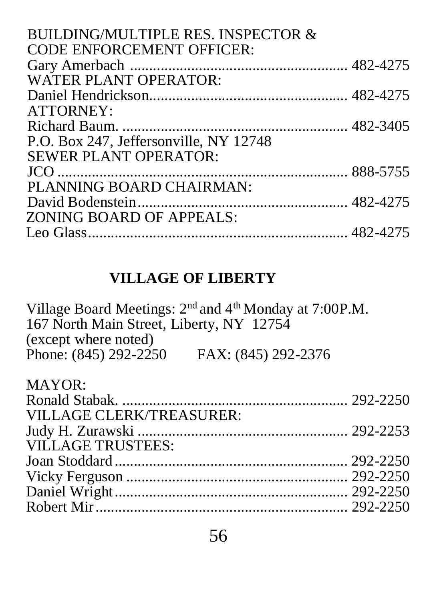| BUILDING/MULTIPLE RES. INSPECTOR &<br><b>CODE ENFORCEMENT OFFICER:</b> |  |
|------------------------------------------------------------------------|--|
|                                                                        |  |
| <b>WATER PLANT OPERATOR:</b>                                           |  |
|                                                                        |  |
| <b>ATTORNEY:</b>                                                       |  |
|                                                                        |  |
| P.O. Box 247, Jeffersonville, NY 12748                                 |  |
| <b>SEWER PLANT OPERATOR:</b>                                           |  |
|                                                                        |  |
| PLANNING BOARD CHAIRMAN:                                               |  |
|                                                                        |  |
| ZONING BOARD OF APPEALS:                                               |  |
|                                                                        |  |
|                                                                        |  |

## **VILLAGE OF LIBERTY**

Village Board Meetings: 2<sup>nd</sup> and 4<sup>th</sup> Monday at 7:00P.M. 167 North Main Street, Liberty, NY 12754 (except where noted) Phone: (845) 292-2250 FAX: (845) 292-2376

| <b>MAYOR:</b>            |  |
|--------------------------|--|
|                          |  |
| VILLAGE CLERK/TREASURER: |  |
|                          |  |
| <b>VILLAGE TRUSTEES:</b> |  |
|                          |  |
|                          |  |
|                          |  |
|                          |  |
|                          |  |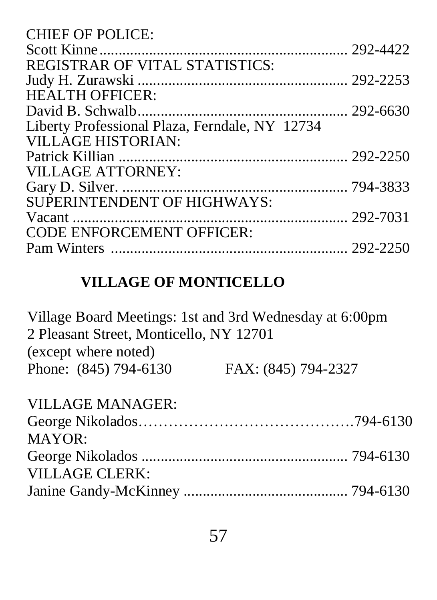| <b>CHIEF OF POLICE:</b>                        |  |
|------------------------------------------------|--|
|                                                |  |
| <b>REGISTRAR OF VITAL STATISTICS:</b>          |  |
|                                                |  |
| <b>HEALTH OFFICER:</b>                         |  |
|                                                |  |
| Liberty Professional Plaza, Ferndale, NY 12734 |  |
| <b>VILLAGE HISTORIAN:</b>                      |  |
|                                                |  |
| <b>VILLAGE ATTORNEY:</b>                       |  |
|                                                |  |
| SUPERINTENDENT OF HIGHWAYS:                    |  |
|                                                |  |
| <b>CODE ENFORCEMENT OFFICER:</b>               |  |
|                                                |  |
|                                                |  |

# **VILLAGE OF MONTICELLO**

| Village Board Meetings: 1st and 3rd Wednesday at 6:00pm |                     |
|---------------------------------------------------------|---------------------|
| 2 Pleasant Street, Monticello, NY 12701                 |                     |
| (except where noted)                                    |                     |
| Phone: (845) 794-6130                                   | FAX: (845) 794-2327 |
| VILLAGE MANAGER:                                        |                     |
|                                                         |                     |
| MAYOR:                                                  |                     |
|                                                         |                     |
| <b>VILLAGE CLERK:</b>                                   |                     |
|                                                         |                     |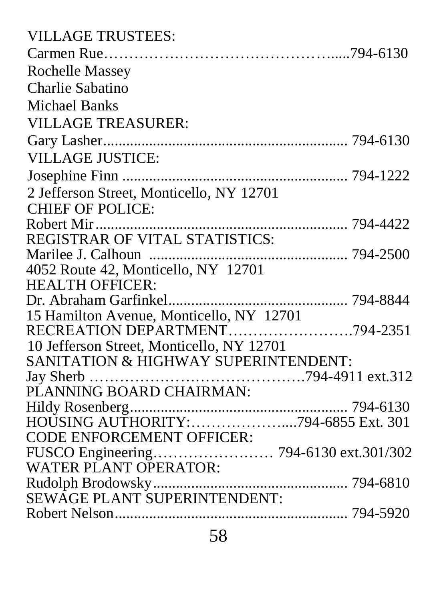| <b>VILLAGE TRUSTEES:</b>                  |  |
|-------------------------------------------|--|
|                                           |  |
| Rochelle Massey                           |  |
| Charlie Sabatino                          |  |
| Michael Banks                             |  |
| <b>VILLAGE TREASURER:</b>                 |  |
|                                           |  |
| <b>VILLAGE JUSTICE:</b>                   |  |
|                                           |  |
| 2 Jefferson Street, Monticello, NY 12701  |  |
| <b>CHIEF OF POLICE:</b>                   |  |
|                                           |  |
| <b>REGISTRAR OF VITAL STATISTICS:</b>     |  |
|                                           |  |
| 4052 Route 42, Monticello, NY 12701       |  |
| <b>HEALTH OFFICER:</b>                    |  |
|                                           |  |
| 15 Hamilton Avenue, Monticello, NY 12701  |  |
| RECREATION DEPARTMENT794-2351             |  |
| 10 Jefferson Street, Monticello, NY 12701 |  |
| SANITATION & HIGHWAY SUPERINTENDENT:      |  |
|                                           |  |
| PLANNING BOARD CHAIRMAN:                  |  |
|                                           |  |
|                                           |  |
| <b>CODE ENFORCEMENT OFFICER:</b>          |  |
| FUSCO Engineering 794-6130 ext.301/302    |  |
| WATER PLANT OPERATOR:                     |  |
|                                           |  |
|                                           |  |
|                                           |  |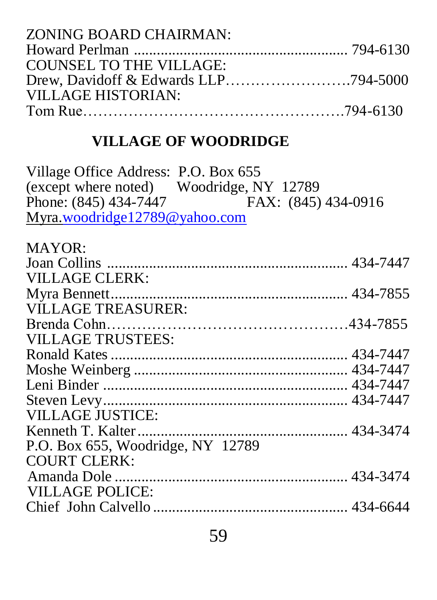| ZONING BOARD CHAIRMAN:  |  |
|-------------------------|--|
|                         |  |
| COUNSEL TO THE VILLAGE: |  |
|                         |  |
| VILLAGE HISTORIAN:      |  |
|                         |  |

## **VILLAGE OF WOODRIDGE**

Village Office Address: P.O. Box 655 (except where noted) Woodridge, NY 12789<br>Phone: (845) 434-7447 FAX: (845) 434-0916 Phone: (845) 434-7447 Myra[.woodridge12789@yahoo.com](mailto:woodridge12789@yahoo.com)

| <b>MAYOR:</b>                     |  |
|-----------------------------------|--|
|                                   |  |
| VILLAGE CLERK:                    |  |
|                                   |  |
| <b>VILLAGE TREASURER:</b>         |  |
|                                   |  |
| <b>VILLAGE TRUSTEES:</b>          |  |
|                                   |  |
|                                   |  |
|                                   |  |
|                                   |  |
| <b>VILLAGE JUSTICE:</b>           |  |
|                                   |  |
| P.O. Box 655, Woodridge, NY 12789 |  |
| <b>COURT CLERK:</b>               |  |
|                                   |  |
| VILLAGE POLICE:                   |  |
|                                   |  |
|                                   |  |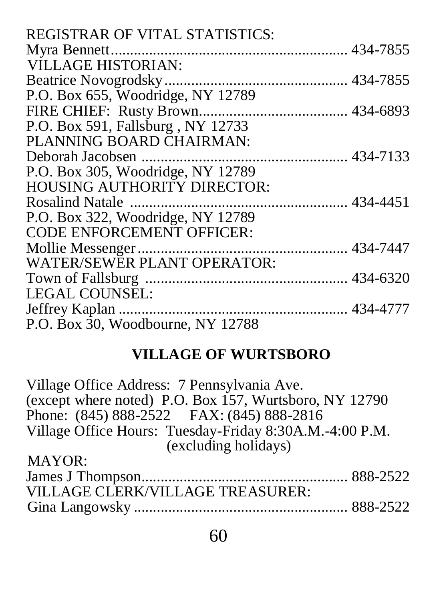| <b>REGISTRAR OF VITAL STATISTICS:</b> |  |
|---------------------------------------|--|
|                                       |  |
| <b>VILLAGE HISTORIAN:</b>             |  |
|                                       |  |
| P.O. Box 655, Woodridge, NY 12789     |  |
|                                       |  |
| P.O. Box 591, Fallsburg, NY 12733     |  |
| PLANNING BOARD CHAIRMAN:              |  |
|                                       |  |
| P.O. Box 305, Woodridge, NY 12789     |  |
| <b>HOUSING AUTHORITY DIRECTOR:</b>    |  |
|                                       |  |
| P.O. Box 322, Woodridge, NY 12789     |  |
| <b>CODE ENFORCEMENT OFFICER:</b>      |  |
|                                       |  |
| WATER/SEWER PLANT OPERATOR:           |  |
|                                       |  |
| <b>LEGAL COUNSEL:</b>                 |  |
|                                       |  |
| P.O. Box 30, Woodbourne, NY 12788     |  |

# **VILLAGE OF WURTSBORO**

| (except where noted) P.O. Box 157, Wurtsboro, NY 12790  |
|---------------------------------------------------------|
|                                                         |
| Village Office Hours: Tuesday-Friday 8:30A.M.-4:00 P.M. |
|                                                         |
|                                                         |
|                                                         |
|                                                         |
|                                                         |
|                                                         |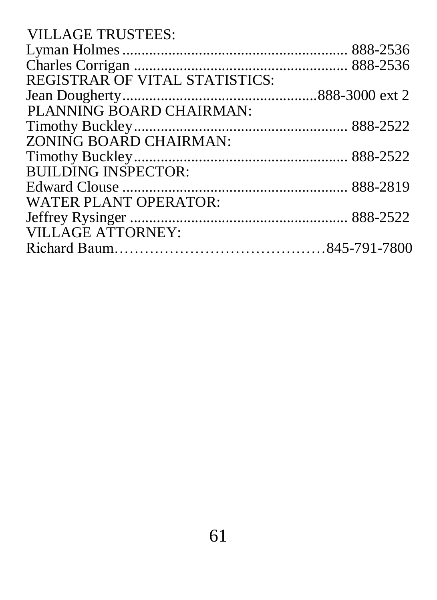| <b>VILLAGE TRUSTEES:</b>              |  |
|---------------------------------------|--|
|                                       |  |
|                                       |  |
| <b>REGISTRAR OF VITAL STATISTICS:</b> |  |
|                                       |  |
| PLANNING BOARD CHAIRMAN:              |  |
|                                       |  |
| ZONING BOARD CHAIRMAN:                |  |
|                                       |  |
| <b>BUILDING INSPECTOR:</b>            |  |
|                                       |  |
| <b>WATER PLANT OPERATOR:</b>          |  |
|                                       |  |
| <b>VILLAGE ATTORNEY:</b>              |  |
|                                       |  |
|                                       |  |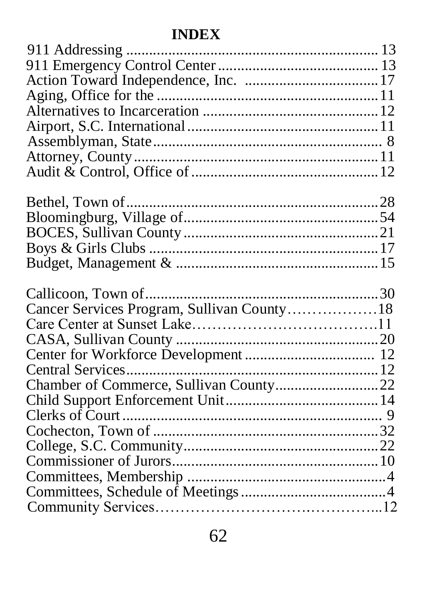# **INDEX**

| Cancer Services Program, Sullivan County18 |  |
|--------------------------------------------|--|
|                                            |  |
|                                            |  |
|                                            |  |
|                                            |  |
| Chamber of Commerce, Sullivan County22     |  |
|                                            |  |
|                                            |  |
|                                            |  |
|                                            |  |
|                                            |  |
|                                            |  |
|                                            |  |
|                                            |  |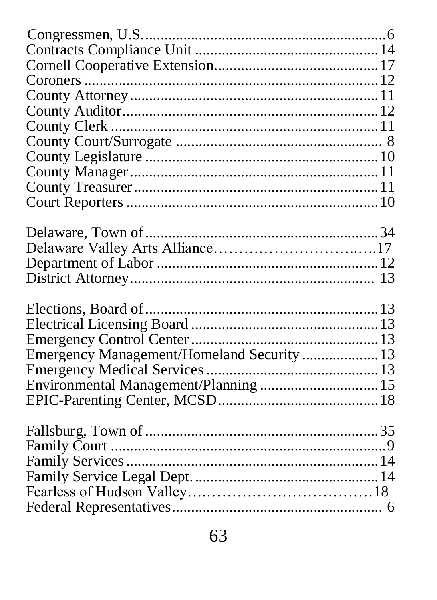| Emergency Management/Homeland Security  13 |  |
|--------------------------------------------|--|
|                                            |  |
| Environmental Management/Planning  15      |  |
|                                            |  |
|                                            |  |
|                                            |  |
|                                            |  |
|                                            |  |
|                                            |  |
|                                            |  |
|                                            |  |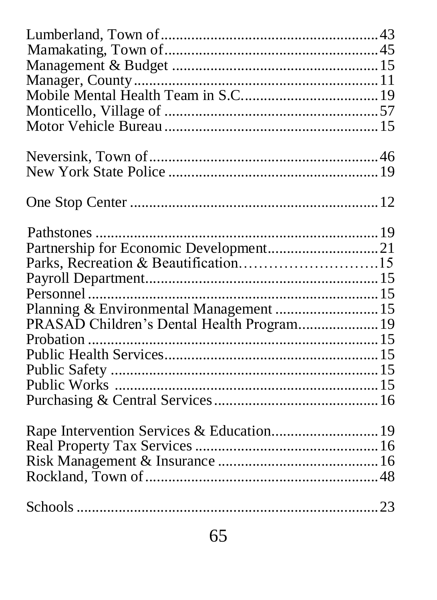| Partnership for Economic Development21     |  |
|--------------------------------------------|--|
| Parks, Recreation & Beautification15       |  |
|                                            |  |
|                                            |  |
| Planning & Environmental Management  15    |  |
| PRASAD Children's Dental Health Program 19 |  |
|                                            |  |
|                                            |  |
|                                            |  |
|                                            |  |
|                                            |  |
|                                            |  |
|                                            |  |
|                                            |  |
|                                            |  |
|                                            |  |
|                                            |  |
|                                            |  |
|                                            |  |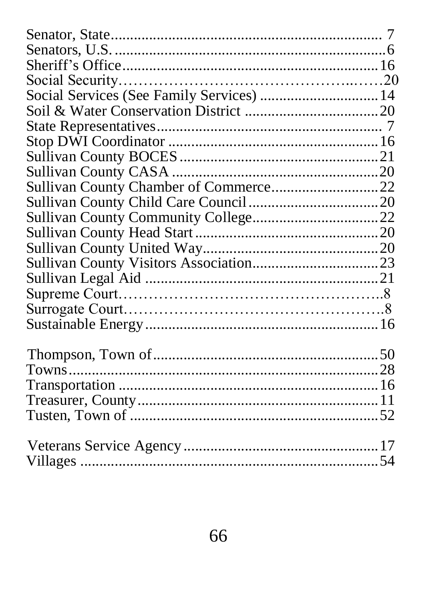| Social Services (See Family Services)  14 |  |
|-------------------------------------------|--|
|                                           |  |
|                                           |  |
|                                           |  |
|                                           |  |
|                                           |  |
|                                           |  |
|                                           |  |
|                                           |  |
|                                           |  |
|                                           |  |
|                                           |  |
|                                           |  |
|                                           |  |
|                                           |  |
|                                           |  |
|                                           |  |
|                                           |  |
|                                           |  |
|                                           |  |
|                                           |  |
|                                           |  |
|                                           |  |
|                                           |  |
|                                           |  |